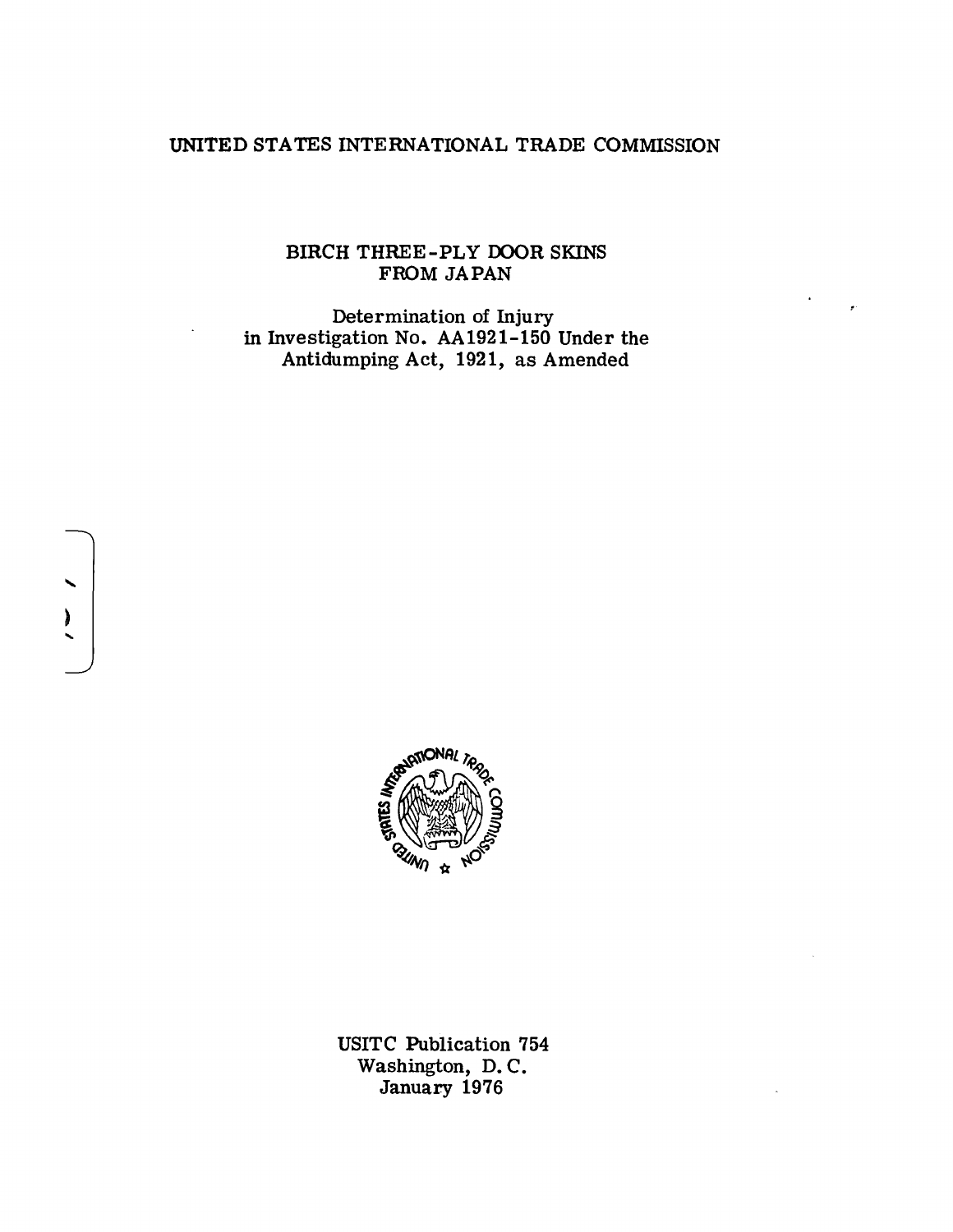# UNITED STATES INTERNATIONAL TRADE COMMISSION

# BIRCH THREE-PLY OOOR SKINS FROM JAPAN

Determination of Injury in Investigation No. AA1921-150 Under the Antidumping Act, 1921, as Amended



....

 $\overline{\phantom{0}}$ 

USITC Publication 754 Washington, D. C. January 1976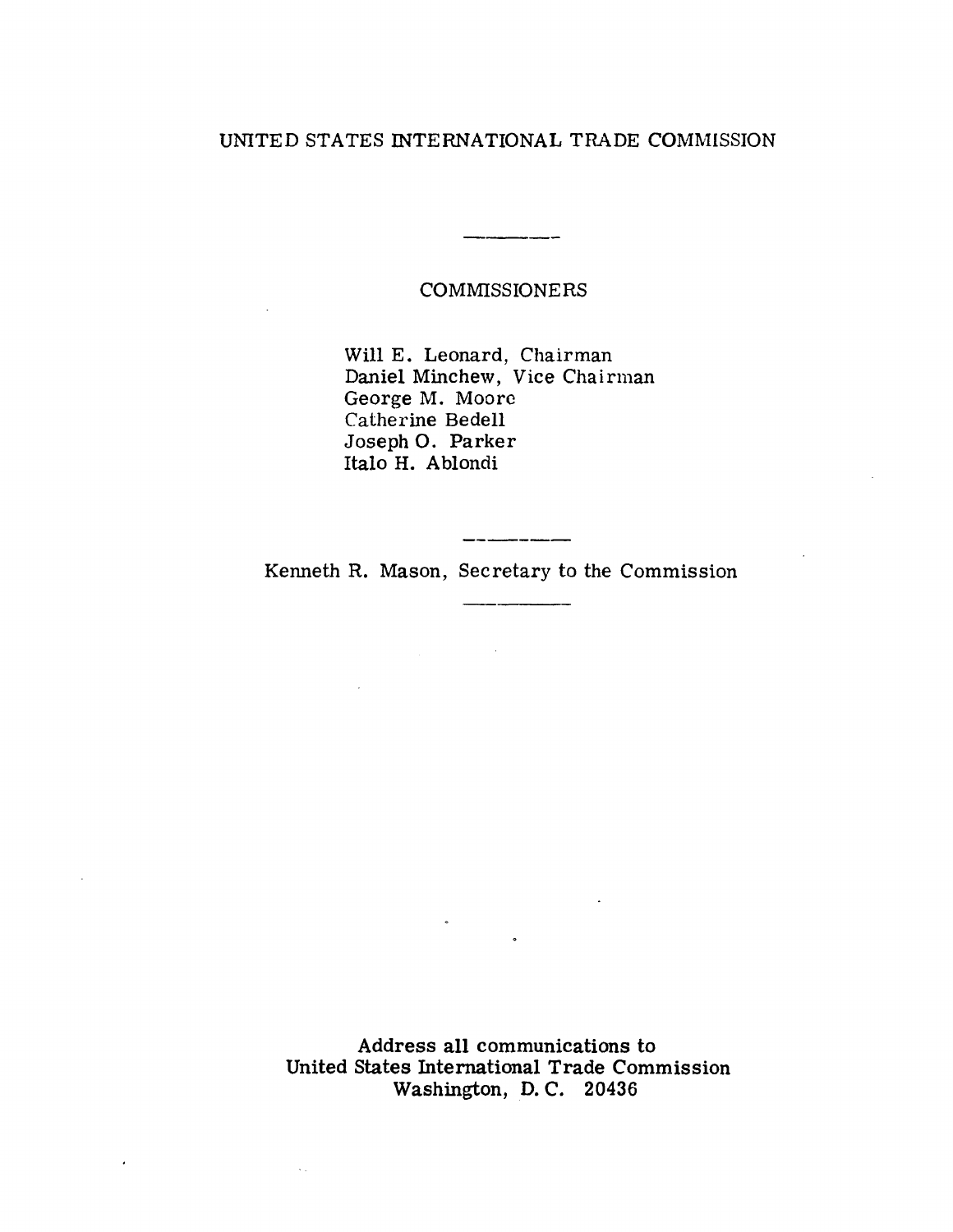# UNITED STATES INTERNATIONAL TRADE COMMISSION

COMMISSIONERS

.<br>Personal and an anti-series and an anti-

Will E. Leonard, Chairman Daniel Minchew, Vice Chairman George M. Moore Catherine Bedell Joseph 0. Parker Italo H. Ablondi

Kenneth R. Mason, Secretary to the Commission

 $\mathcal{L}_{\text{max}}$  and  $\mathcal{L}_{\text{max}}$  . The  $\mathcal{L}_{\text{max}}$ 

 $\sim$ 

 $\sim 10$ 

 $\overline{\phantom{a}}$ 

Address all communications to United States International Trade Commission Washington, D. C. 20436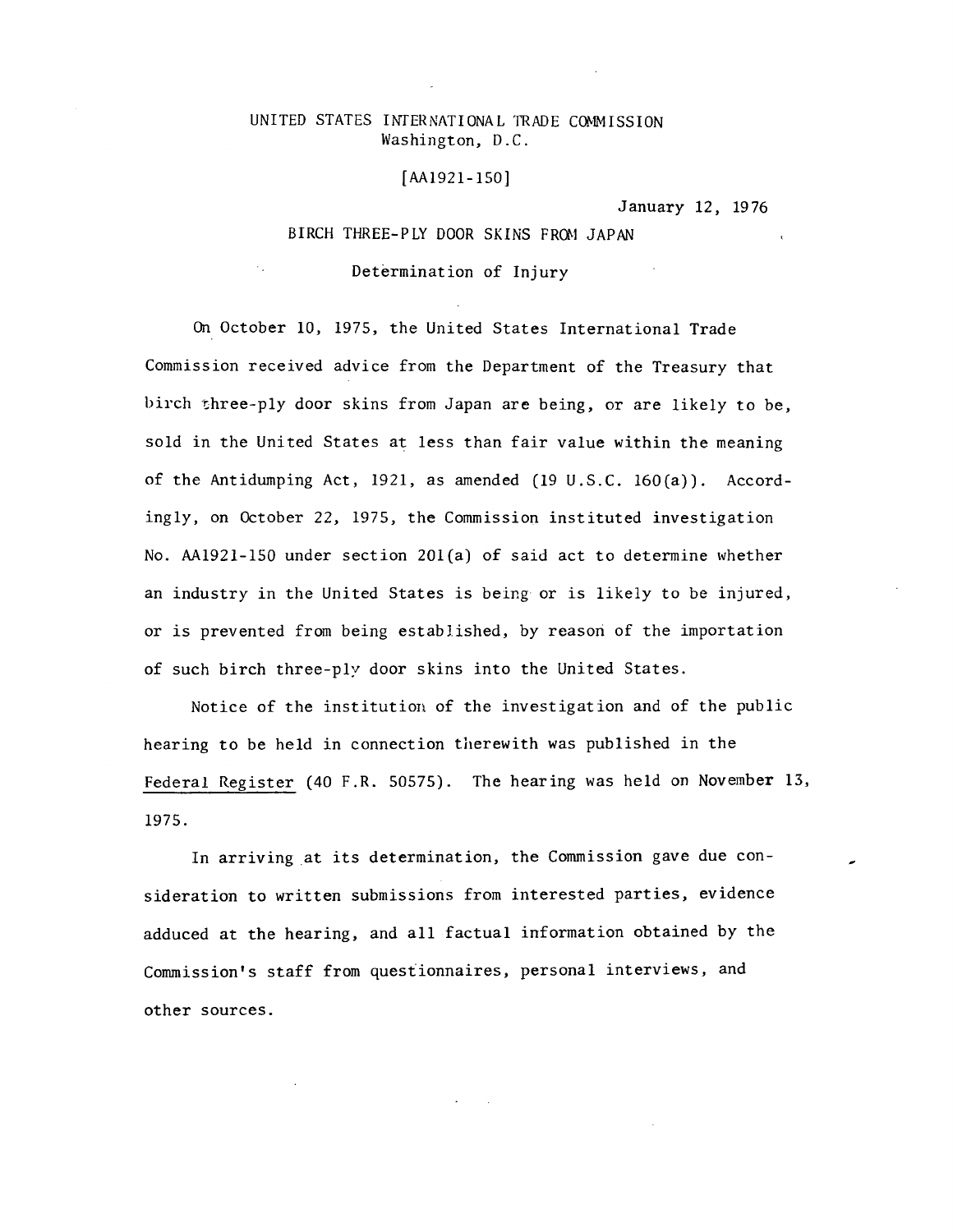## UNITED STATES INTERNATIONAL TRADE COMMISSION Washington, D.C.

#### [AA1921-150]

January 12, 1976

## BIRCH THREE-PLY DOOR SKINS FROM JAPAN

Determination of Injury

On October 10, 1975, the United States International Trade Commission received advice from the Department of the Treasury that birch three-ply door skins from Japan are being, or are likely to be, sold in the United States at less than fair value within the meaning of the Antidumping Act, 1921, as amended (19 U.S.C. 160(a)). Accordingly, on October 22, 1975, the Commission instituted investigation No. AA1921-150 under section 201(a) of said act to determine whether an industry in the United States is being or is likely to be injured, or is prevented from being established, by reasori of the importation of such birch three-ply door skins into the United States.

Notice of the institution of the investigation and of the public hearing to be held in connection therewith was published in the Federal Register (40 F.R. 50575). The hearing was held on November 13, 1975.

In arriving at its determination, the Commission gave due consideration to written submissions from interested parties, evidence adduced at the hearing, and all factual information obtained by the Commission's staff from questionnaires, personal interviews, and other sources.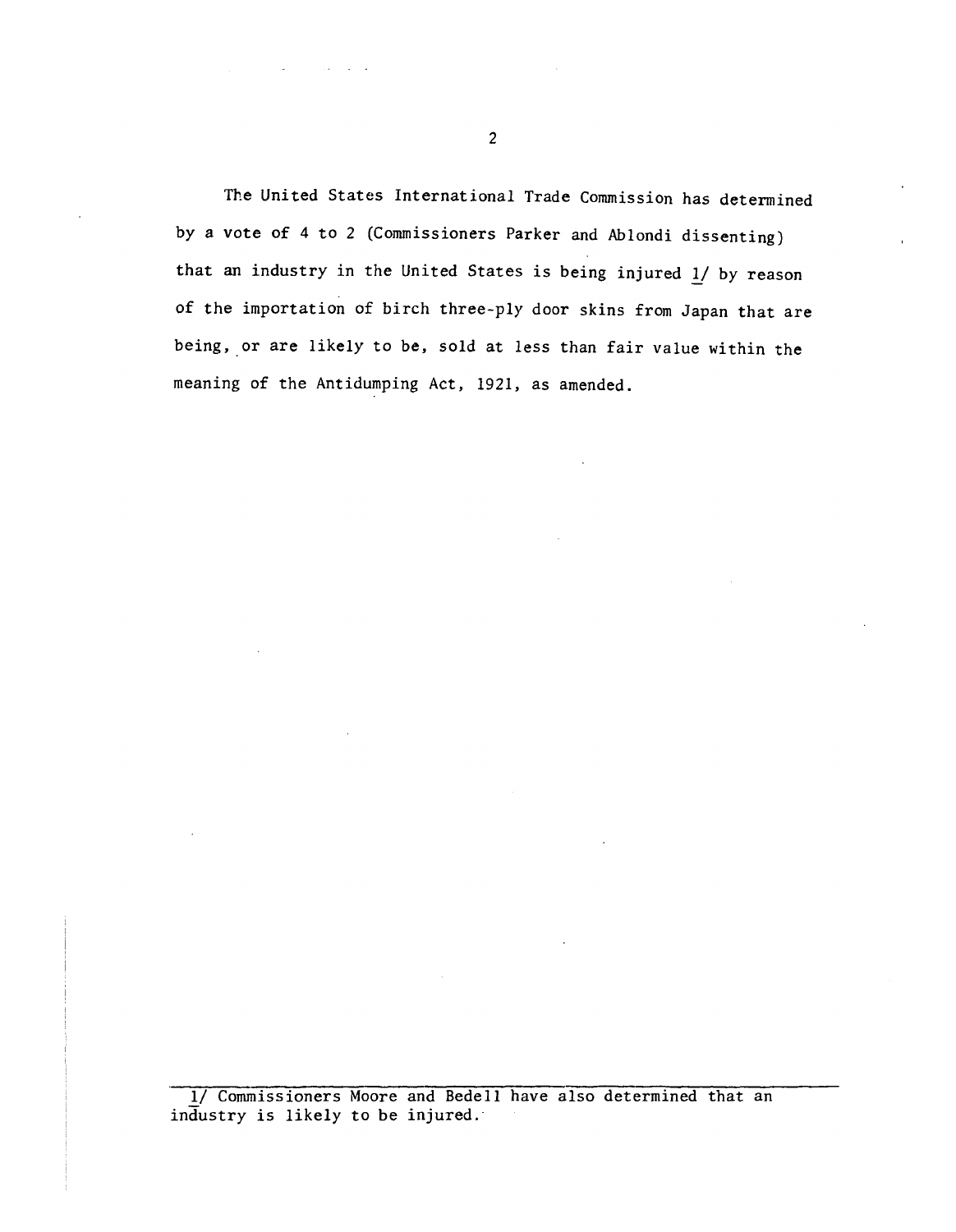The United States International Trade Commission has determined by a vote of 4 to 2 (Commissioners Parker and Ablondi dissenting) that an industry in the United States is being injured  $1/$  by reason of the importation of birch three-ply door skins from Japan that are being, or are likely to be, sold at less than fair value within the meaning of the Antidumping Act, 1921, as amended.

1/ Commissioners Moore and Bedell have also determined that an industry is likely to be injured.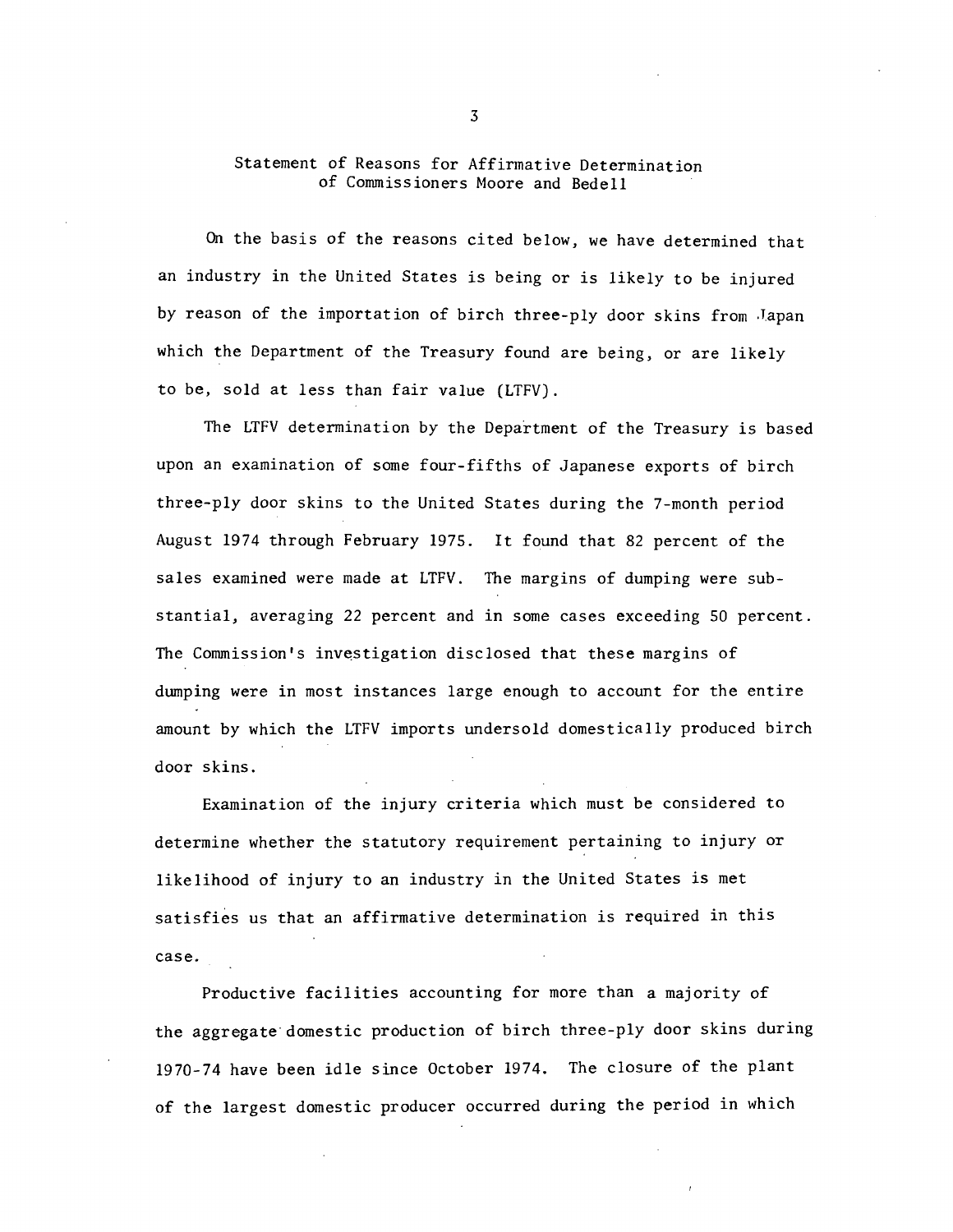## Statement of Reasons for Affirmative Determination of Commissioners Moore and Bedell

On the basis of the reasons cited below, we have determined that an industry in the United States is being or is likely to be injured by reason of the importation of birch three-ply door skins from .Japan which the Department of the Treasury found are being, or are likely to be, sold at less than fair value (LTFV).

The LTFV determination by the Department of the Treasury is based upon an examination of some four-fifths of Japanese exports of birch three-ply door skins to the United States during the 7-month period August 1974 through February 1975. It found that 82 percent of the sales examined were made at LTFV. The margins of dumping were substantial, averaging 22 percent and in some cases exceeding 50 percent. The Commission's investigation disclosed that these margins of dwnping were in most instances large enough to account for the entire amount by which the LTFV imports undersold domestically produced birch door skins.

Examination of the injury criteria which must be considered to determine whether the statutory requirement pertaining to injury or likelihood of injury to an industry in the United States is met satisfies us that an affirmative determination is required in this case.

Productive facilities accounting for more than a majority of the aggregate· domestic production of birch three-ply door skins during 1970-74 have been idle since October 1974. The closure of the plant of the largest domestic producer occurred during the period in which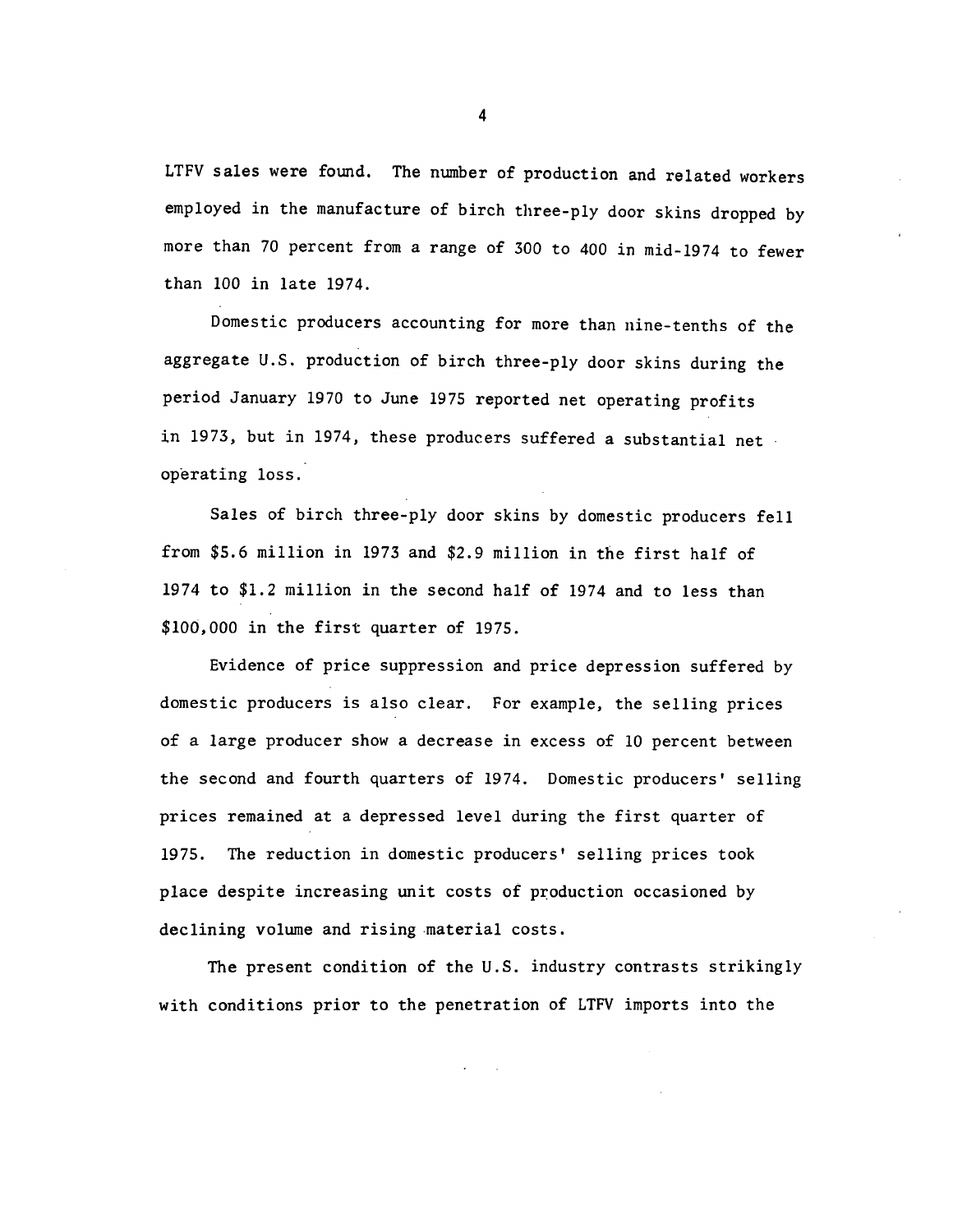LTFV sales were found. The number of production and related workers employed in the manufacture of birch three-ply door skins dropped by more than 70 percent from a range of 300 to 400 in mid-1974 to fewer than 100 in late 1974.

Domestic producers accounting for more than nine-tenths of the aggregate U.S. production of birch three-ply door skins during the period January 1970 to June 1975 reported net operating profits in 1973, but in 1974, these producers suffered a substantial net operating loss.

Sales of birch three-ply door skins by domestic producers fell from \$5.6 million in 1973 and \$2.9 million in the first half of 1974 to \$1.2 million in the second half of 1974 and to less than \$100,000 in the first quarter of 1975.

Evidence of price suppression and price depression suffered by domestic producers is also clear. For example, the selling prices of a large producer show a decrease in excess of 10 percent between the second and fourth quarters of 1974. Domestic producers' selling prices remained at a depressed level during the first quarter of 1975. The reduction in domestic producers' selling prices took place despite increasing unit costs of production occasioned by declining volume and rising material costs.

The present condition of the U.S. industry contrasts strikingly with conditions prior to the penetration of LTFV imports into the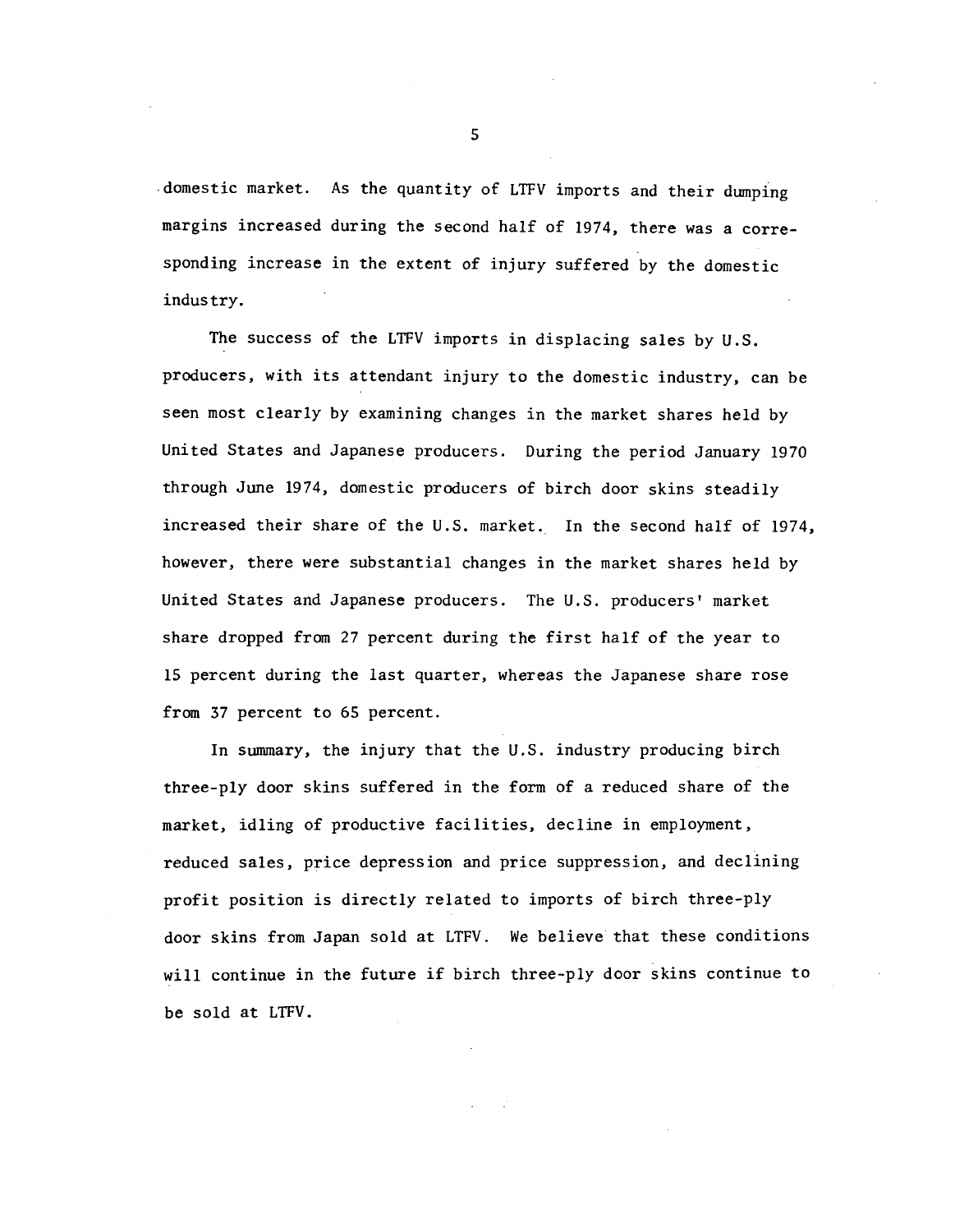.domestic market. As the quantity of LTFV imports and their dumping margins increased during the second half of 1974, there was a corresponding increase in the extent of injury suffered by the domestic industry.

The success of the LTFV imports in displacing sales by U.S. producers, with its attendant injury to the domestic industry, can be seen most clearly by examining changes in the market shares held by United States and Japanese producers. During the period January 1970 through June 1974, domestic producers of birch door skins steadily increased their share of the U.S. market. In the second half of 1974, however, there were substantial changes in the market shares held by United States and Japanese producers. The U.S. producers' market share dropped from 27 percent during the first half of the year to 15 percent during the last quarter, whereas the Japanese share rose from 37 percent to 65 percent.

In summary, the injury that the U.S. industry producing birch three-ply door skins suffered in the form of a reduced share of the market, idling of productive facilities, decline in employment, reduced sales, price depression and price suppression, and declining profit position is directly related to imports of birch three-ply door skins from Japan sold at LTFV. We believe that these conditions will continue in the future if birch three-ply door skins continue to be sold at LTFV.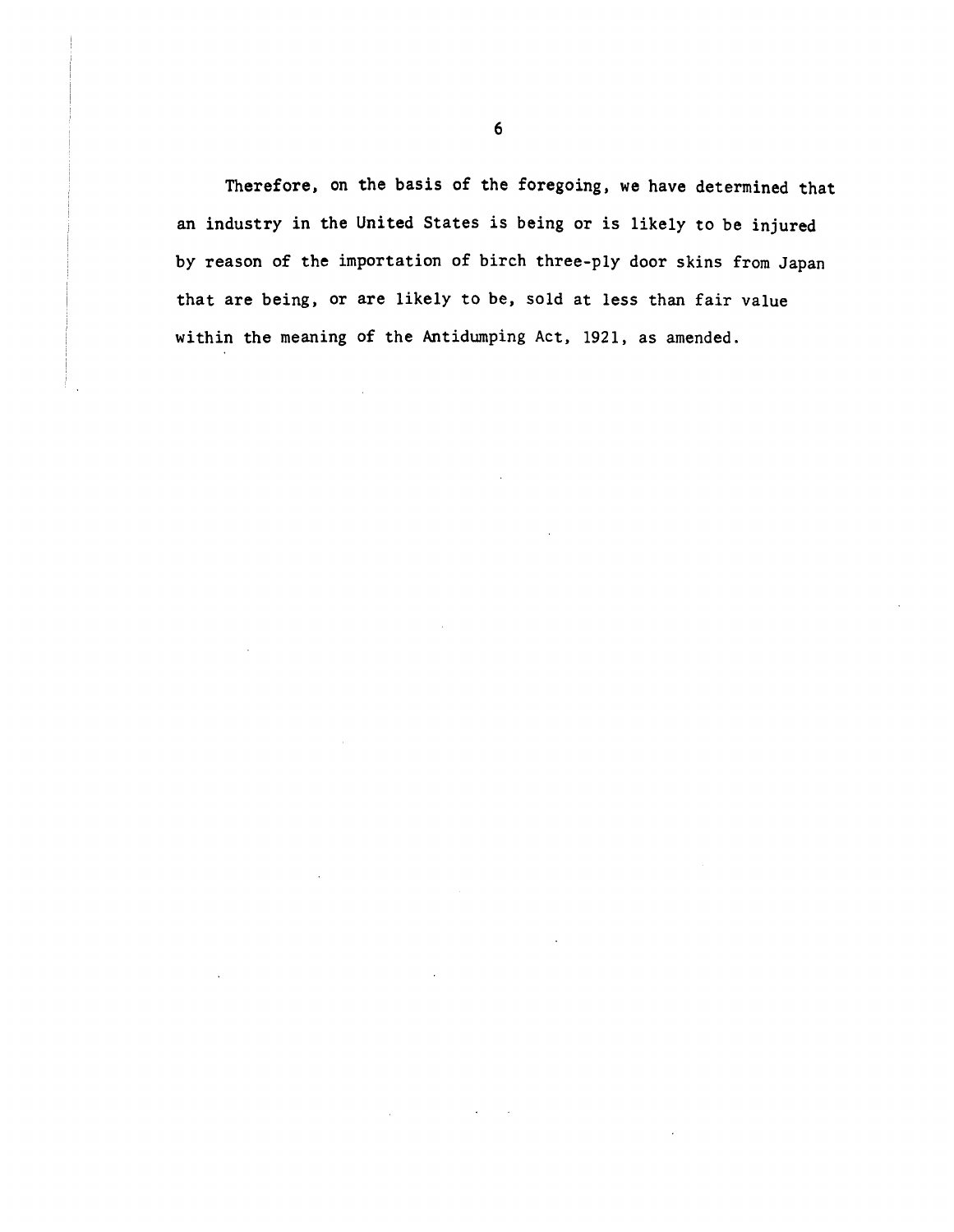Therefore, on the basis of the foregoing, we have determined that an industry in the United States is being or is likely to be injured by reason of the importation of birch three-ply door skins from Japan that are being, or are likely to be, sold at less than fair value within the meaning of the Antidumping Act, 1921, as amended.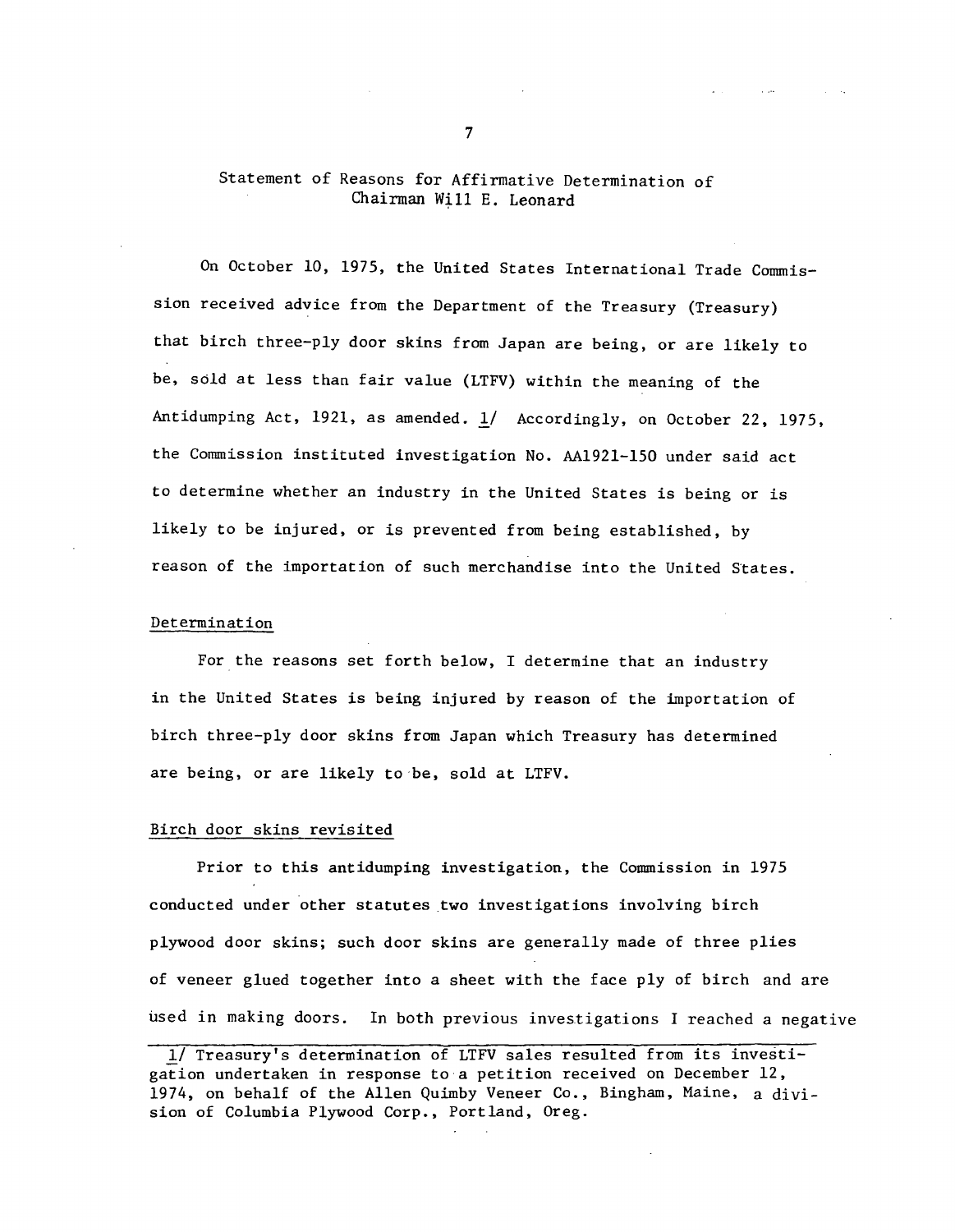## Statement of Reasons for Affirmative Determination of Chairman Will E. Leonard

On October 10, 1975, the United States International Trade Commission received advice from the Department of the Treasury (Treasury) that birch three-ply door skins from Japan are being, or are likely to be, sold at less than fair value (LTFV) within the meaning of the Antidumping Act, 1921, as amended.  $1/$  Accordingly, on October 22, 1975, the Commission instituted investigation No. AA1921-150 under said act to determine whether an industry in the United States is being or is likely to be injured, or is prevented from being established, by reason of the importation of such merchandise into the United States.

#### Determination

For the reasons set forth below, I determine that an industry in the United States is being injured by reason of the importation of birch three-ply door skins from Japan which Treasury has determined are being, or are likely to·be, sold at LTFV.

#### Birch door skins revisited

Prior to this antidumping investigation, the Commission in 1975 conducted under other statutes two investigations involving birch plywood door skins; such door skins are generally made of three plies of veneer glued together into a sheet with the face ply of birch and are used in making doors. In both previous investigations I reached a negative

7

**Contract** 

<sup>1/</sup> Treasury's determination of LTFV sales resulted from its investigation undertaken in response to a petition received on December 12, 1974, on behalf of the Allen Quimby Veneer Co., Bingham, Maine, a division of Columbia Plywood Corp., Portland, Oreg.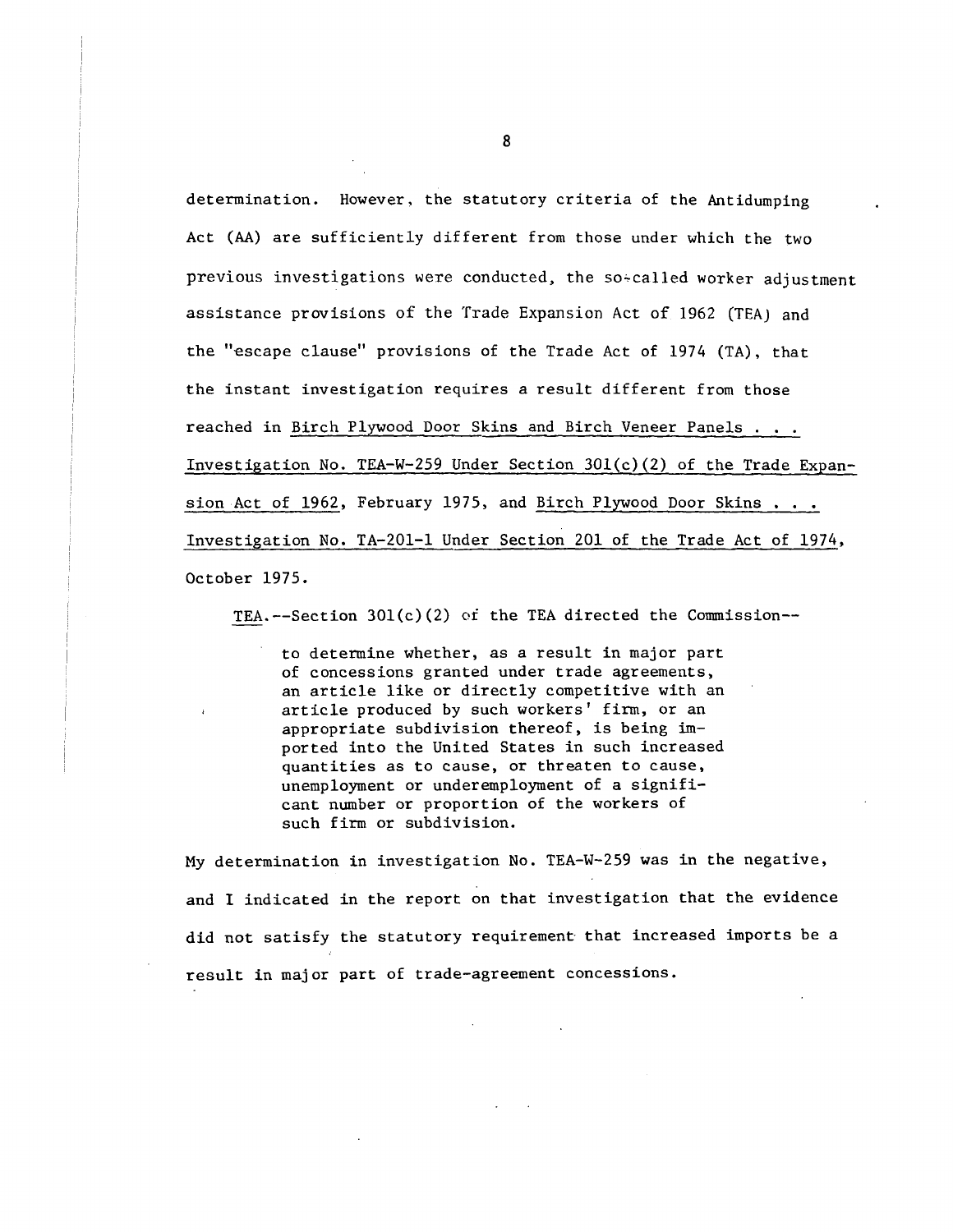determination. However, the statutory criteria of the Antidumping Act (AA) are sufficiently different from those under which the two previous investigations were conducted, the so-called worker adjustment assistance provisions of the Trade Expansion Act of 1962 (TEA) and the "escape clause" provisions of the Trade Act of 1974 (TA), that the instant investigation requires a result different from those reached in Birch Plywood Door Skins and Birch Veneer Panels . . . Investigation No. TEA-W-259 Under Section 30l(c)(2) of the Trade Expansion Act of 1962, February 1975, and Birch Plywood Door Skins . . . Investigation No. TA-201-1 Under Section 201 of the Trade Act of 1974, October 1975.

TEA.--Section 301(c)(2) of the TEA directed the Commission--

to determine whether, as a result in major part of concessions granted under trade agreements, an article like or directly competitive with an article produced by such workers' firm, or an appropriate subdivision thereof, is being imported into the United States in such increased quantities as to cause, or threaten to cause, unemployment or underemployment of a significant number or proportion of the workers of such firm or subdivision.

My determination in investigation No. TEA-W-259 was in the negative, and I indicated in the report on that investigation that the evidence did not satisfy the statutory requirement that increased imports be a result in major part of trade-agreement concessions.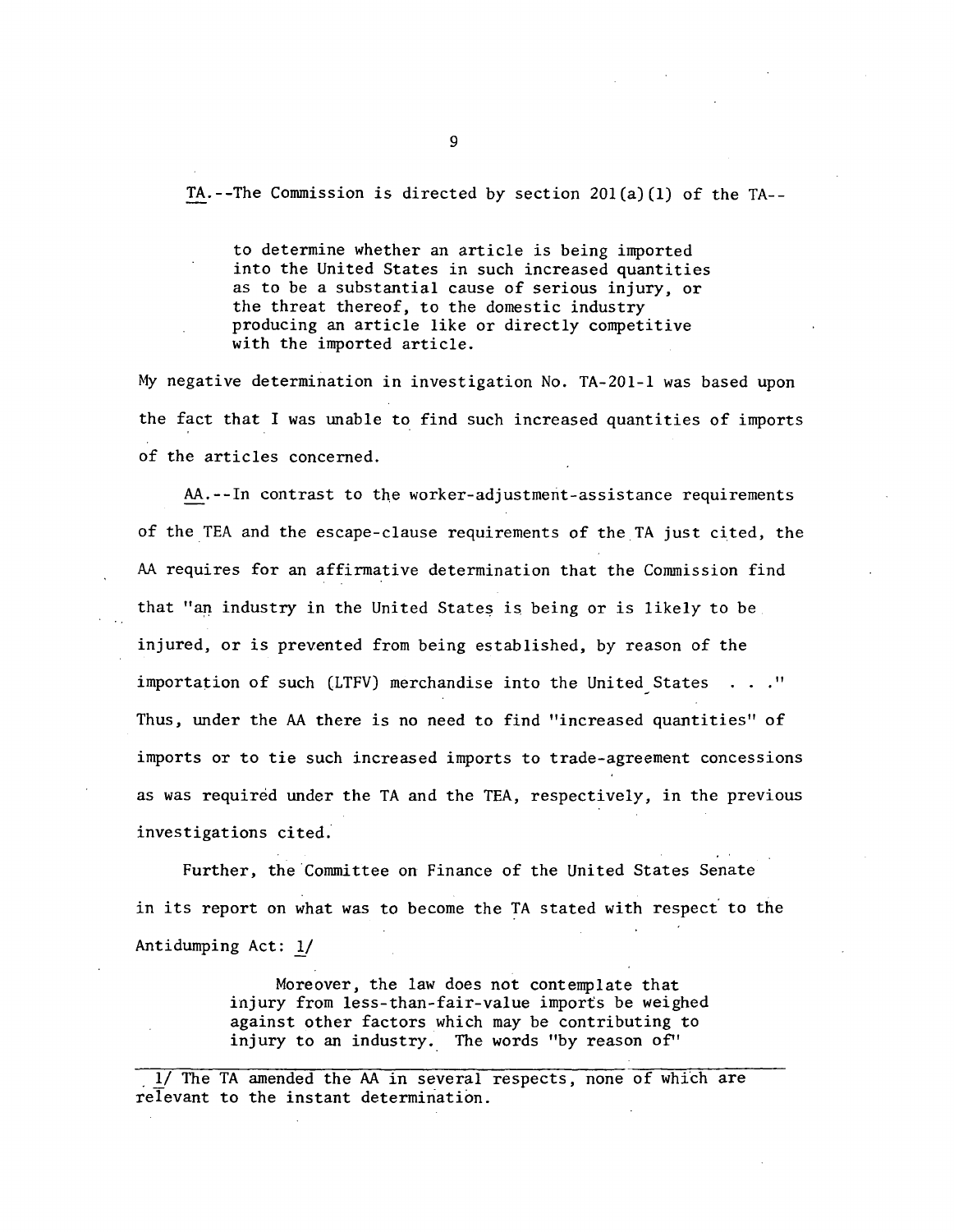TA.--The Commission is directed by section 20l(a)(l) of the TA--

to determine whether an article is being imported into the United States in such increased quantities as to be a substantial cause of serious injury, or the threat thereof, to the domestic industry producing an article like or directly competitive with the imported article.

My negative determination in investigation No. TA-201-1 was based upon the fact that I was unable to find such increased quantities of imports of the articles concerned.

AA.--In contrast to the worker-adjustment-assistance requirements of the TEA and the escape-clause requirements of the TA just cited, the AA requires for an affirmative determination that the Commission find that "an industry in the United States is being or is likely to be injured, or is prevented from being established, by reason of the importation of such (LTFV) merchandise into the United States  $\ldots$  ." Thus, under the AA there is no need to find "increased quantities" of imports or to tie such increased imports to trade-agreement concessions as was required under the TA and the TEA, respectively, in the previous investigations cited;

Further, the Committee on Finance of the United States Senate in its report on what was to become the TA stated with respect to the Antidumping Act: 1/

> Moreover, the law does not contemplate that injury from less-than-fair-value imports be weighed against other factors which may be contributing to injury to an industry. The words "by reason of''

1/ The TA amended the AA in several respects, none of which are relevant to the instant determination.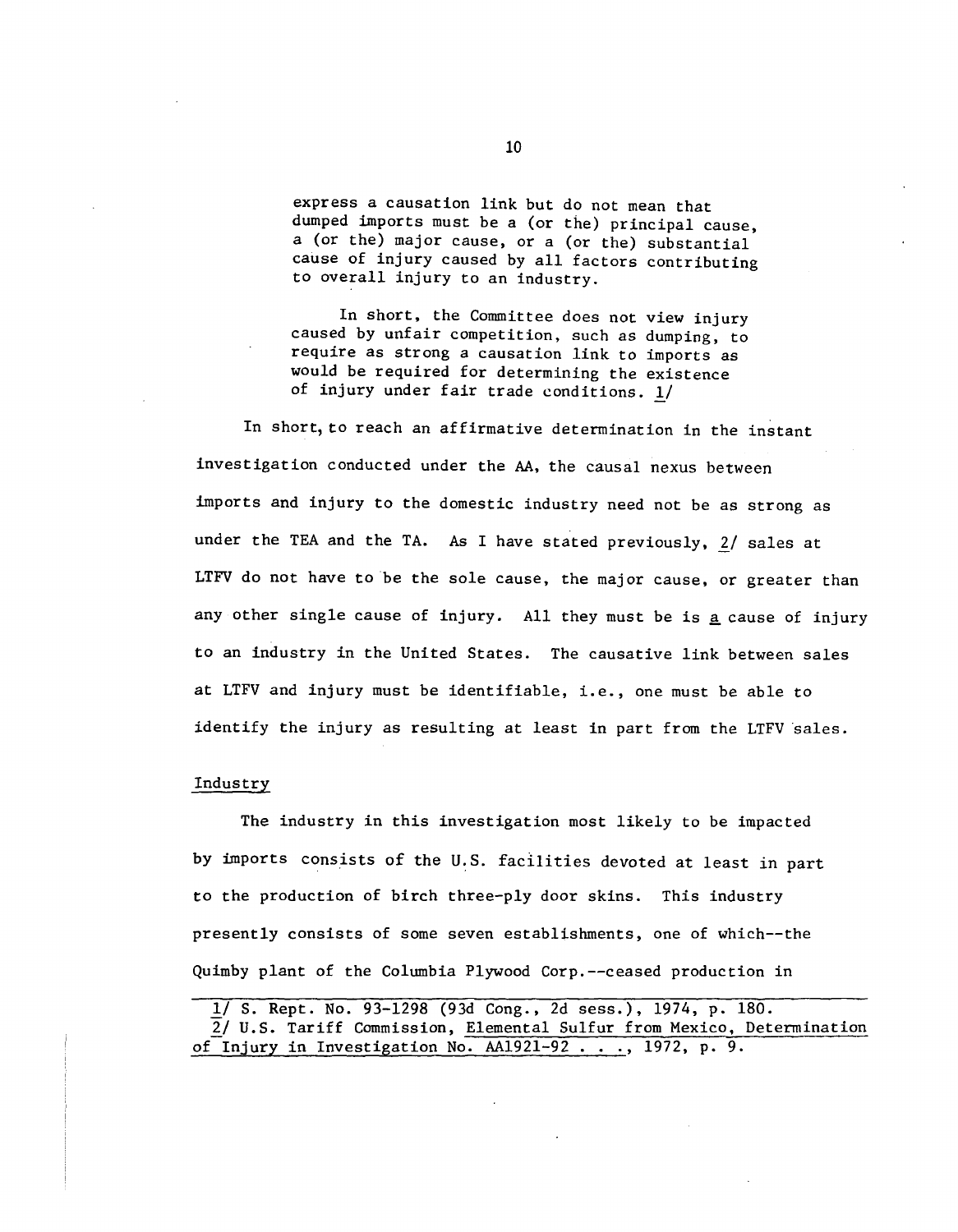express a causation link but do not mean that dumped imports must be a (or the) principal cause, a (or the) major cause, or a (or the) substantial cause of injury caused by all factors contributing to overall injury to an industry.

In short, the Committee does not view injury caused by unfair competition, such as dumping, to require as strong a causation link to imports as would be required for determining the existence of injury under fair trade conditions. 1/

In short, *to* reach an affirmative determination in the instant investigation conducted under the AA, the causal nexus between imports and injury to the domestic industry need not be as strong as under the TEA and the TA. As I have stated previously, 2/ sales at LTFV do not have *to* be the sole cause, the major cause, or greater than any other single cause of injury. All they must be is a cause of injury to an industry in the United States. The causative link between sales at LTFV and injury must be identifiable, i.e., one must be able to identify the injury as resulting at least in part from the LTFV sales.

#### Industry

The industry in this investigation most likely to be impacted by imports consists of the U.S. facilities devoted at least in part to the production of birch three-ply door skins. This industry presently consists of some seven establishments, one of which--the Quimby plant of the Columbia Plywood Corp.--ceased production in

<sup>1/</sup> S. Rept. No. 93-1298 (93d Cong., 2d sess.), 1974, p. 180. 2/ U.S. Tariff Commission, Elemental Sulfur from Mexico, Determination of Injury in Investigation No. AA1921-92 ..., 1972, p. 9.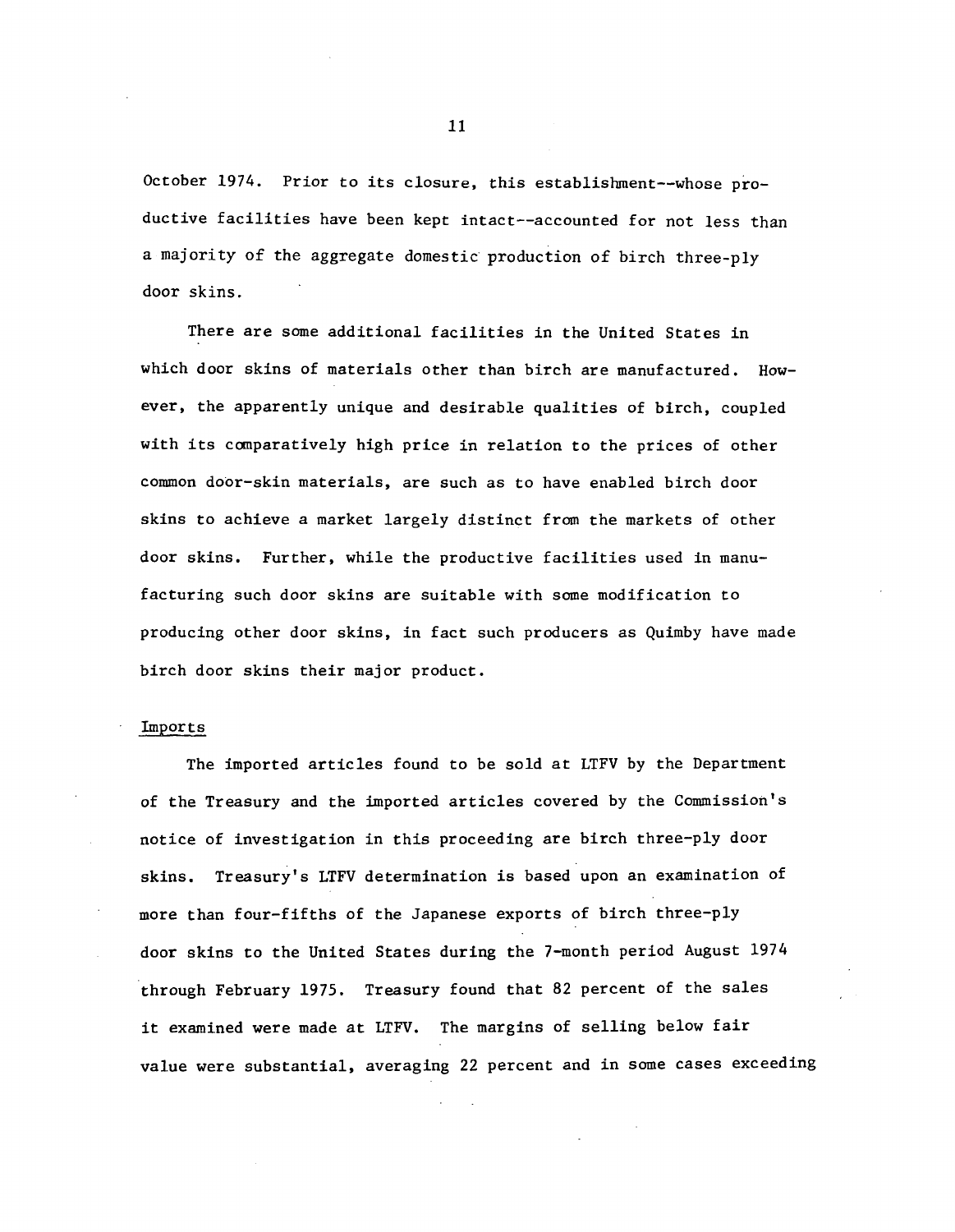October 1974. Prior to its closure, this establislnnent--whose productive facilities have been kept intact--accounted for not less than a majority of the aggregate domestic production of birch three-ply door skins.

There are some additional facilities in the United States in which door skins of materials other than birch are manufactured. However, the apparently unique and desirable qualities of birch, coupled with its comparatively high price in relation to the prices of other common door-skin materials, are such as to have enabled birch door skins to achieve a market largely distinct from the markets of other door skins. Further, while the productive facilities used in manufacturing such door skins are suitable with some modification to producing other door skins, in fact such producers as Quimby have made birch door skins their major product.

#### Imports

The imported articles found to be sold at LTFV by the Department of the Treasury and the imported articles covered by the Commission's notice of investigation in this proceeding are birch three-ply door skins. Treasury's LTFV determination is based upon an examination of more than four-fifths of the Japanese exports of birch three-ply door skins to the United States during the 7-month period August 1974 through February 1975. Treasury found that 82 percent of the sales it examined were made at LTFV. The margins of selling below fair value were substantial, averaging 22 percent and in some cases exceeding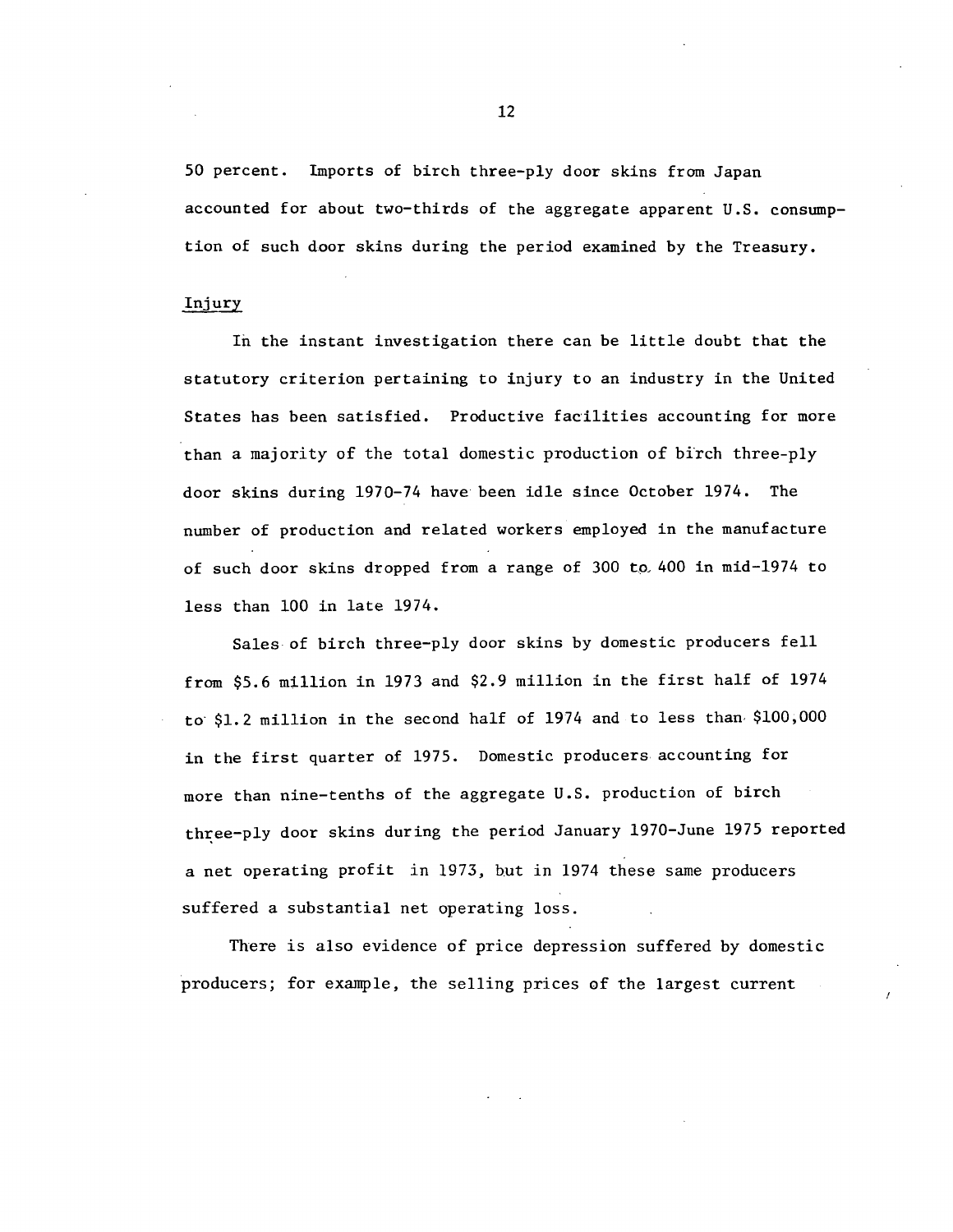50 percent. Imports of birch three-ply door skins from Japan accounted for about two-thirds of the aggregate apparent U.S. consumption of such door skins during the period examined by the Treasury.

#### Injury

In the instant investigation there can be little doubt that the statutory criterion pertaining to injury to an industry in the United States has been satisfied. Productive facilities accounting for more than a majority of the total domestic production of birch three-ply door skins during 1970-74 have been idle since October 1974. The number of production and related workers employed in the manufacture of such door skins dropped from a range of 300 to, 400 in mid-1974 to less than 100 in late 1974.

Sales of birch three-ply door skins by domestic producers fell from \$5.6 million in 1973 and \$2.9 million in the first half of 1974 to· \$1. 2 million in the second half of 1974 and to less than· \$100 ,000 in the first quarter of 1975. Domestic producers accounting for more than nine-tenths of the aggregate U.S. production of birch three-ply door skins during the period January 1970-June 1975 reported a net operating profit in 1973, but in 1974 these same producers suffered a substantial net operating loss.

There is also evidence of price depression suffered by domestic producers; for example, the selling prices of the largest current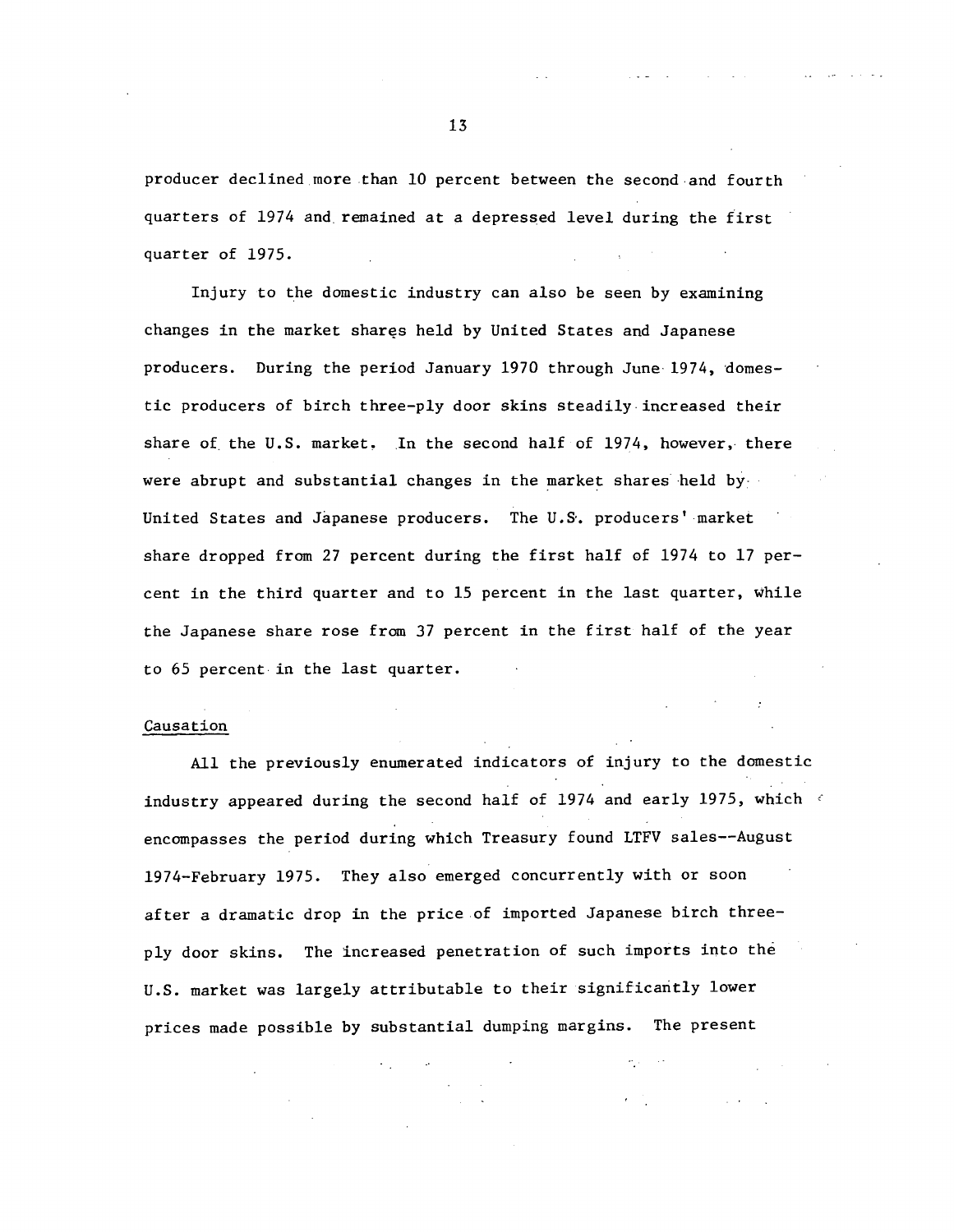producer declined more than 10 percent between the second.and fourth quarters of 1974 and. remained at a depressed level during the first quarter of 1975.

Injury to the domestic industry can also be seen by examining changes in the market shares held by United States and Japanese producers. During the period January 1970 through June 1974, domestic producers of birch three-ply door skins steadily.increased their share of the U.S. market. In the second half of 1974, however, there were abrupt and substantial changes in the market shares held by United States and Japanese producers. The U.S·. producers' market share dropped from 27 percent during the first half of 1974 to 17 percent in the third quarter and to 15 percent in the last quarter, while the Japanese share rose from 37 percent in the first half of the year to 65 percent in the last quarter.

#### Causation

All the previously enumerated indicators of injury to the domestic industry appeared during the second half of 1974 and early 1975, which ' encompasses the period during which Treasury found LTFV sales--August 1974-February 1975. They also emerged concurrently with or soon after a dramatic drop in the price of imported Japanese birch threeply door skins. The increased penetration of such imports into the U.S. market was largely attributable to their significantly lower prices made possible by substantial dumping margins. The present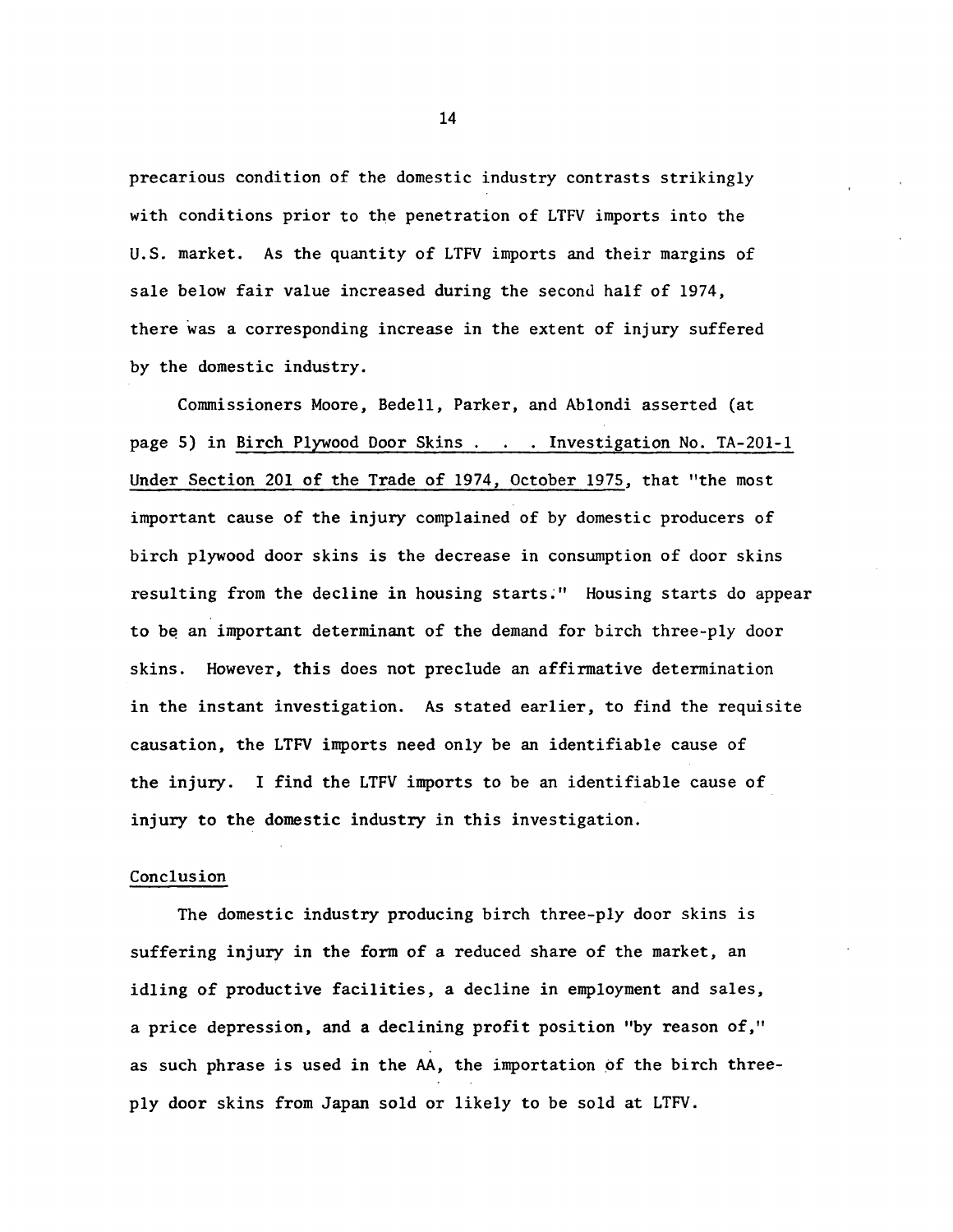precarious condition of the domestic industry contrasts strikingly with conditions prior to the penetration of LTFV imports into the U.S. market. As the quantity of LTFV imports and their margins of sale below fair value increased during the second half of 1974, there was a corresponding increase in the extent of injury suffered by the domestic industry.

Commissioners Moore, Bedell, Parker, and Ablondi asserted (at page 5) in Birch Plywood Door Skins . . Investigation No. TA-201-1 Under Section 201 of the Trade of 1974, October 1975, that "the most important cause of the injury complained of by domestic producers of birch plywood door skins is the decrease in consumption of door skins resulting from the decline in housing starts~" Housing starts do appear to be an important determinant of the demand for birch three-ply door skins. However, this does not preclude an affirmative determination in the instant investigation. As stated earlier, to find the requisite causation, the LTFV imports need only be an identifiable cause of the injury. I find the LTFV imports to be an identifiable cause of injury to the domestic industry in this investigation.

## Conclusion

The domestic industry producing birch three-ply door skins is suffering injury in the form of a reduced share of the market, an idling of productive facilities, a decline in employment and sales, a price depression, and a declining profit position "by reason of," as such phrase is used in the AA, the importation of the birch threeply door skins from Japan sold or likely to be sold at LTFV.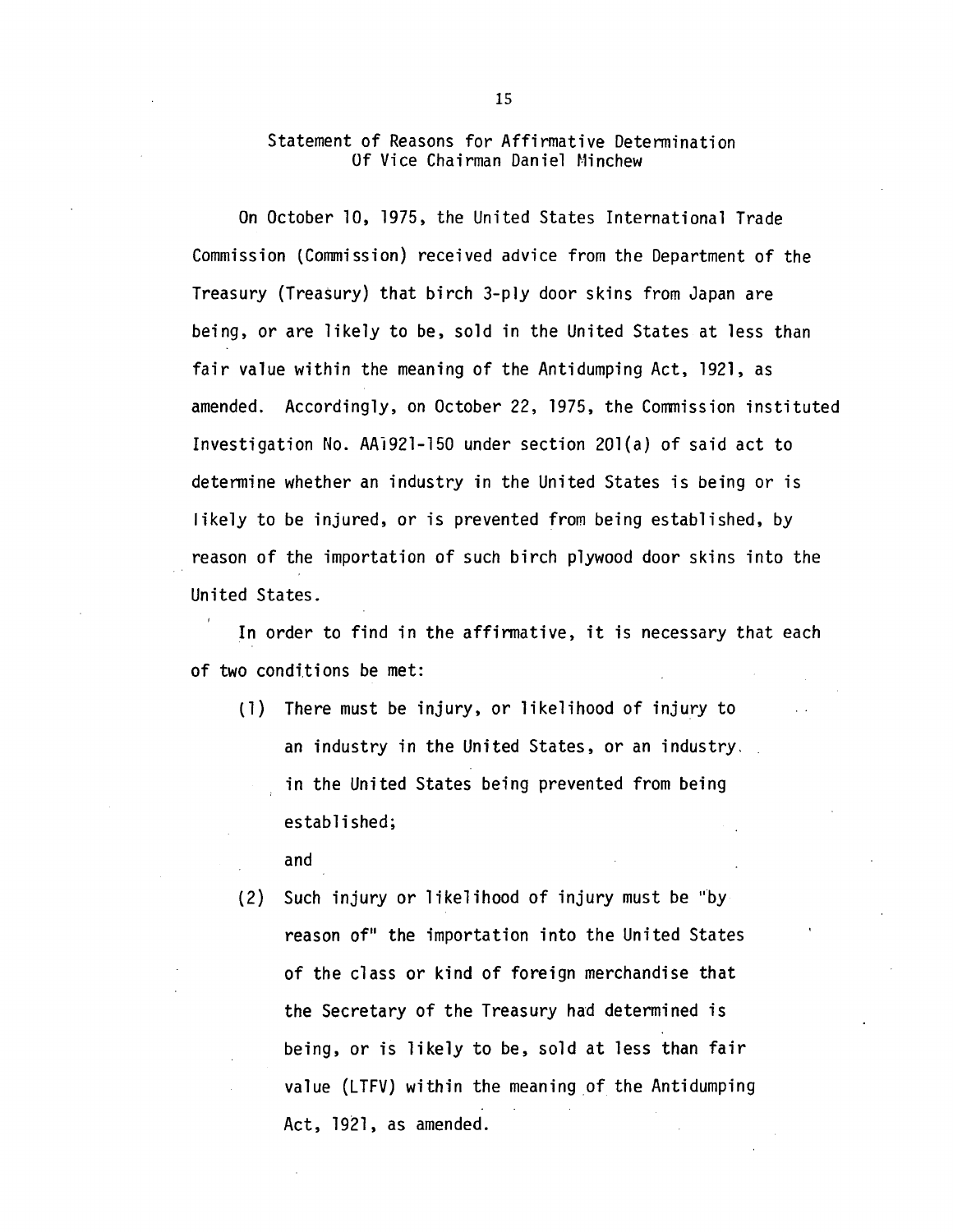## Statement of Reasons for Affirmative Determination Of Vice Chairman Daniel Minchew

On October 10, 1975, the United States International Trade Commission (Commission) received advice from the Department of the Treasury (Treasury) that birch 3-ply door skins from Japan are being, or are likely to be, sold in the United States at less than fair value within the meaning of the Antidumping Act, 1921, as amended. Accordingly, on October 22, 1975, the Commission instituted Investigation No. AAl921-150 under section 20l(a) of said act to detennine whether an industry in the United States is being or is likely to be injured, or is prevented from being established, by reason of the importation of such birch plywood door skins into the United States.

In order to find in the affinnative, it is necessary that each of two conditions be met:

(1) There must be injury, or likelihood of injury to an industry in the United States, or an industry. in the United States being prevented from being established;

and

(2) Such injury or likelihood of injury must be "by reason of" the importation into the United States of the class or kind of foreign merchandise that the Secretary of the Treasury had determined is being, or is likely to be, sold at less than fair value (LTFV) within the meaning of the Antidumping Act, 1921, as amended.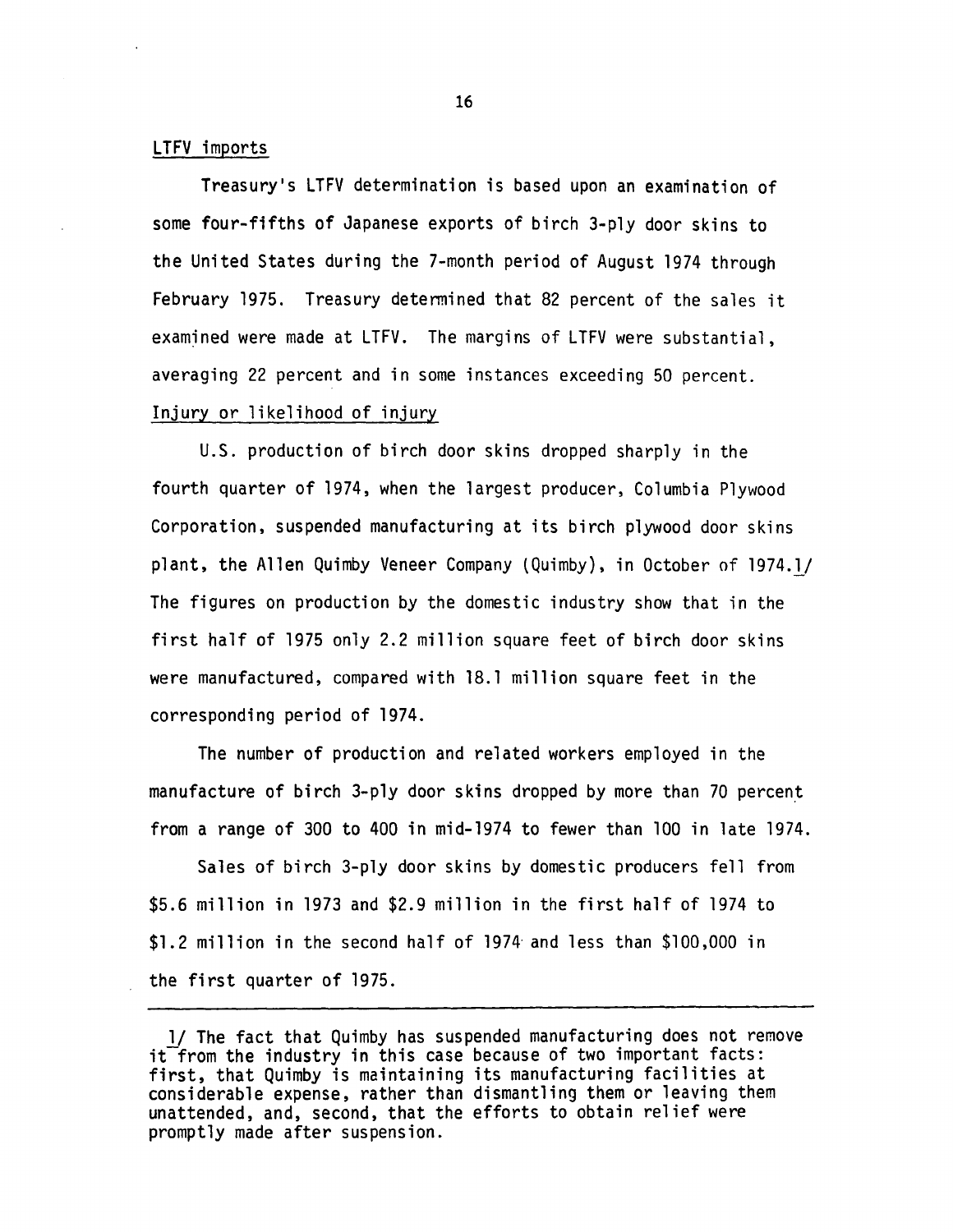## LTFV imports

Treasury's LTFV determination is based upon an examination of some four-fifths of Japanese exports of birch 3-ply door skins to the United States during the 7-month period of August 1974 through February 1975. Treasury detennined that 82 percent of the sales it examined were made at LTFV. The margins of LTFV were substantial, averaging 22 percent and in some instances exceeding 50 percent. Injury or likelihood of injury

U.S. production of birch door skins dropped sharply in the fourth quarter of 1974, when the largest producer, Columbia Plywood Corporation, suspended manufacturing at its birch plywood door skins plant, the Allen Quimby Veneer Company (Quimby), in October of 1974.l/ The figures on production by the domestic industry show that in the first half of 1975 only 2.2 million square feet of birch door skins were manufactured, compared with 18.l million square feet in the corresponding period of 1974.

The number of production and related workers employed in the manufacture of birch 3-ply door skins dropped by more than 70 percent from a range of 300 to 400 in mid-1974 to fewer than 100 in late 1974.

Sales of birch 3-ply door skins by domestic producers fell from \$5.6 million in 1973 and \$2.9 million in the first half of 1974 to \$1.2 million in the second half of 1974· and less than \$100,000 in the first quarter of 1975.

<sup>1/</sup> The fact that Quimby has suspended manufacturing does not remove  $it$  from the industry in this case because of two important facts: first, that Quimby is maintaining its manufacturing facilities at considerable expense, rather than dismantling them or leaving them unattended, and, second, that the efforts to obtain relief were promptly made after suspension.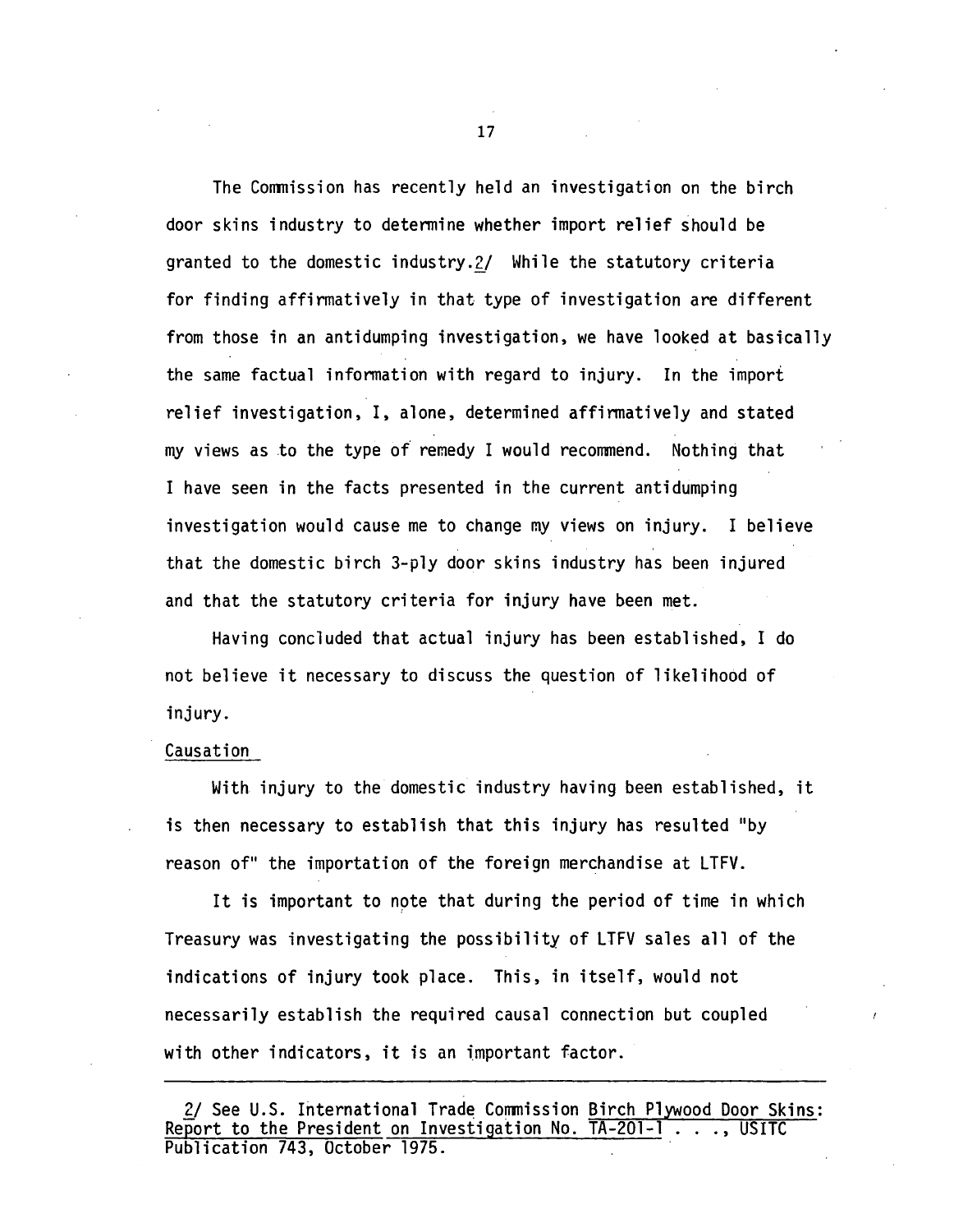The Conmission has recently held an investigation on the birch door skins industry to detennine whether import relief should be granted to the domestic industry.2/ While the statutory criteria for finding affirmatively in that type of investigation are different from those in an antidumping investigation, we have looked at basically the same factual infonnation with regard to injury. In the import relief investigation, I, alone, determined affinnatively and stated my views as to the type *of* remedy I would recommend. Nothing that I have seen in the facts presented in the current antidumping investigation would cause me to change my views on injury. I believe that the domestic birch 3-ply door skins industry has been injured and that the statutory criteria for injury have been met.

Having concluded that actual injury has been established, I do not believe it necessary to discuss the question of likelihood of injury.

#### Causation

With injury to the domestic industry having been established, it is then necessary to establish that this injury has resulted "by reason of" the importation of the foreign merchandise at LTFV.

It is important to note that during the period of time in which Treasury was investigating the possibility of LTFV sales all of the indications of injury took place. This, in itself, would not necessarily establish the required causal connection but coupled with other indicators, it is an important factor.

<sup>2/</sup> See U.S. International Trade Commission Birch Plywood Door Skins:<br>Report to the President on Investigation No. TA-201-1 . . ., USITC Publication 743, October 1975.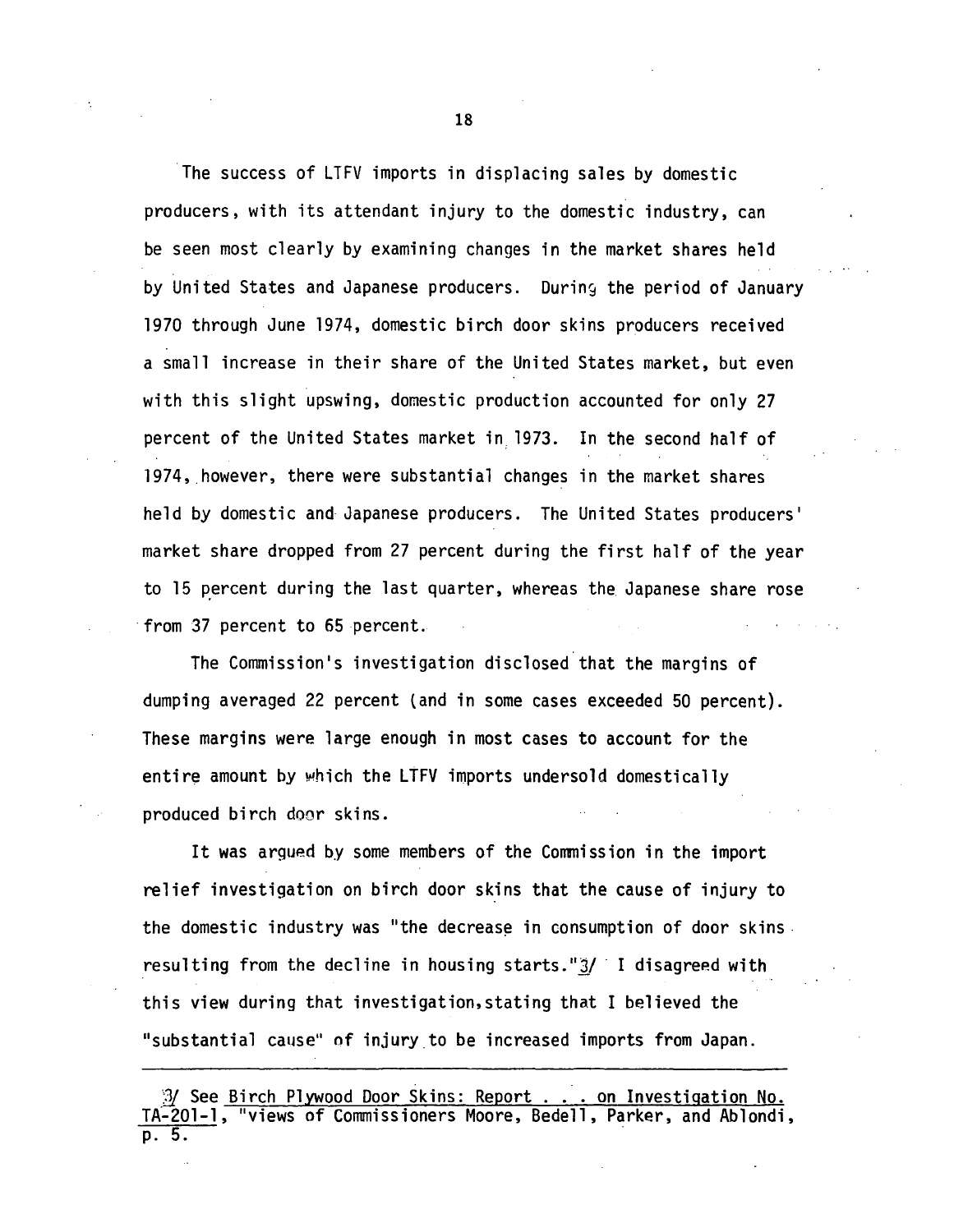The success of LTFV imports in displacing sales by domestic producers, with its attendant injury to the domestic industry, can be seen most clearly by examining changes in the market shares held by United States and Japanese producers. During the period of January 1970 through June 1974, domestic birch door skins producers received a small increase in their share of the United States market, but even with this slight upswing, domestic production accounted for only 27 percent of the United States market in, 1973. In the second half of 1974, however, there were substantial changes in the market shares held by domestic and Japanese producers. The United States producers' market share dropped from 27 percent during the first half of the year to 15 percent during the last quarter, whereas the Japanese share rose from 37 percent to 65 percent.

The Commission's investigation disclosed that the margins of dumping averaged 22 percent (and in some cases exceeded 50 percent). These margins were large enough in most cases to account for the entire amount by which the LTFV imports undersold domestically produced birch door skins.

It was argued by some members of the Conmission in the import relief investigation on birch door skins that the cause of injury to the domestic industry was "the decrease in consumption of door skins. resulting from the decline in housing starts. " $3/$  I disagreed with this view during that investigation,stating that I believed the "substantial cause" of injury.to be increased imports from Japan.

*<sup>&#</sup>x27;]}* See Birch Plywood Door Skins: Report ... on Investigation No. TA-201-1, "views of Commissioners Moore, Bedell, Parker, and Ablondi, p. 5. .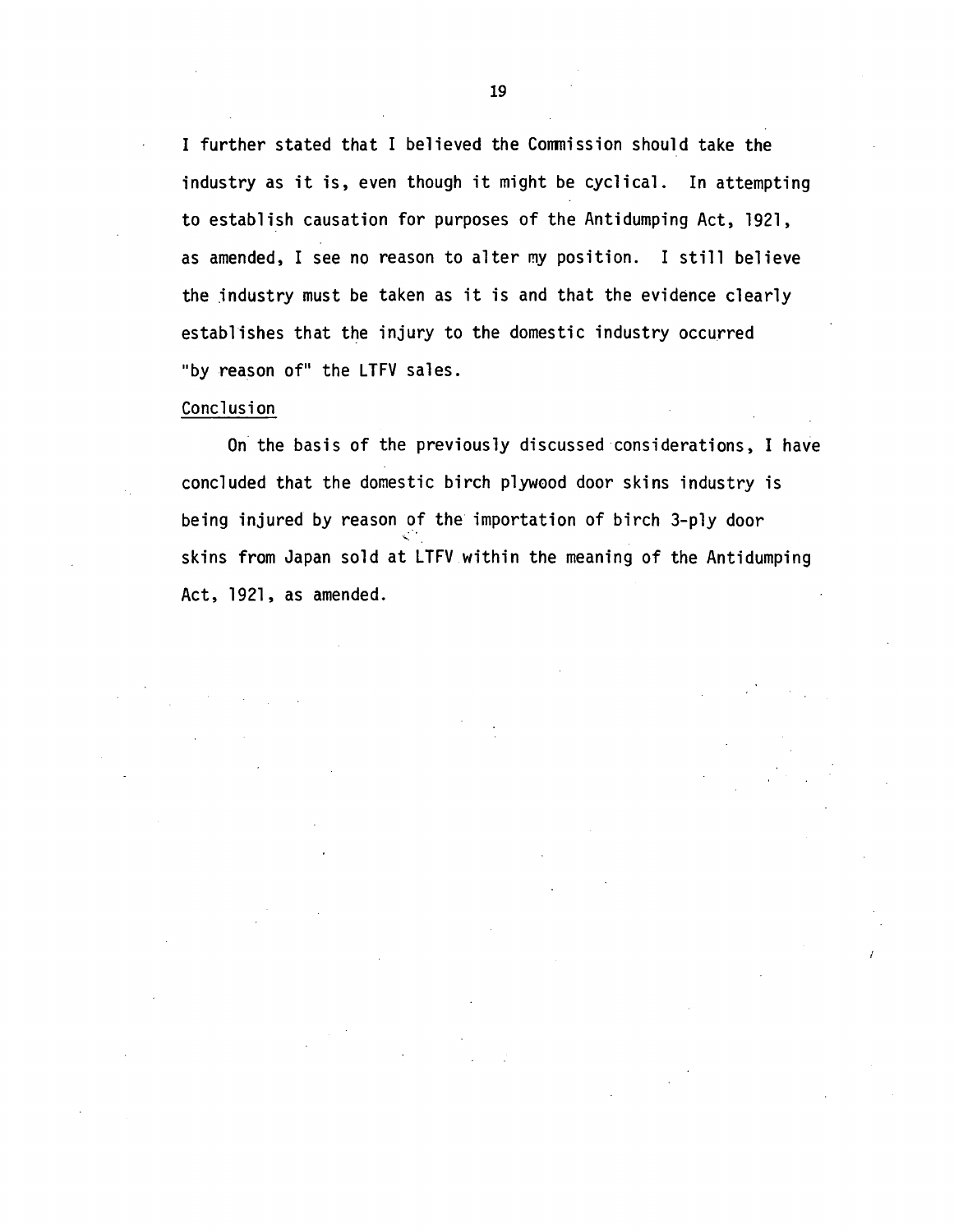I further stated that I believed the Conmission should take the industry as it is, even though it might be cyclical. In attempting to establish causation for purposes of the Antidumping Act, 1921, as amended, I see no reason to alter my position. I still believe the industry must be taken as it is and that the evidence clearly establishes that the injury to the domestic industry occurred "by reason of" the LTFV sales.

## Conclusion

On the basis of the previously discussed considerations, I have concluded that the domestic birch plywood door skins industry is being injured by reason of the importation of birch 3-ply door skins from Japan sold at LTFV within the meaning of the Antidumping Act, 1921, as amended.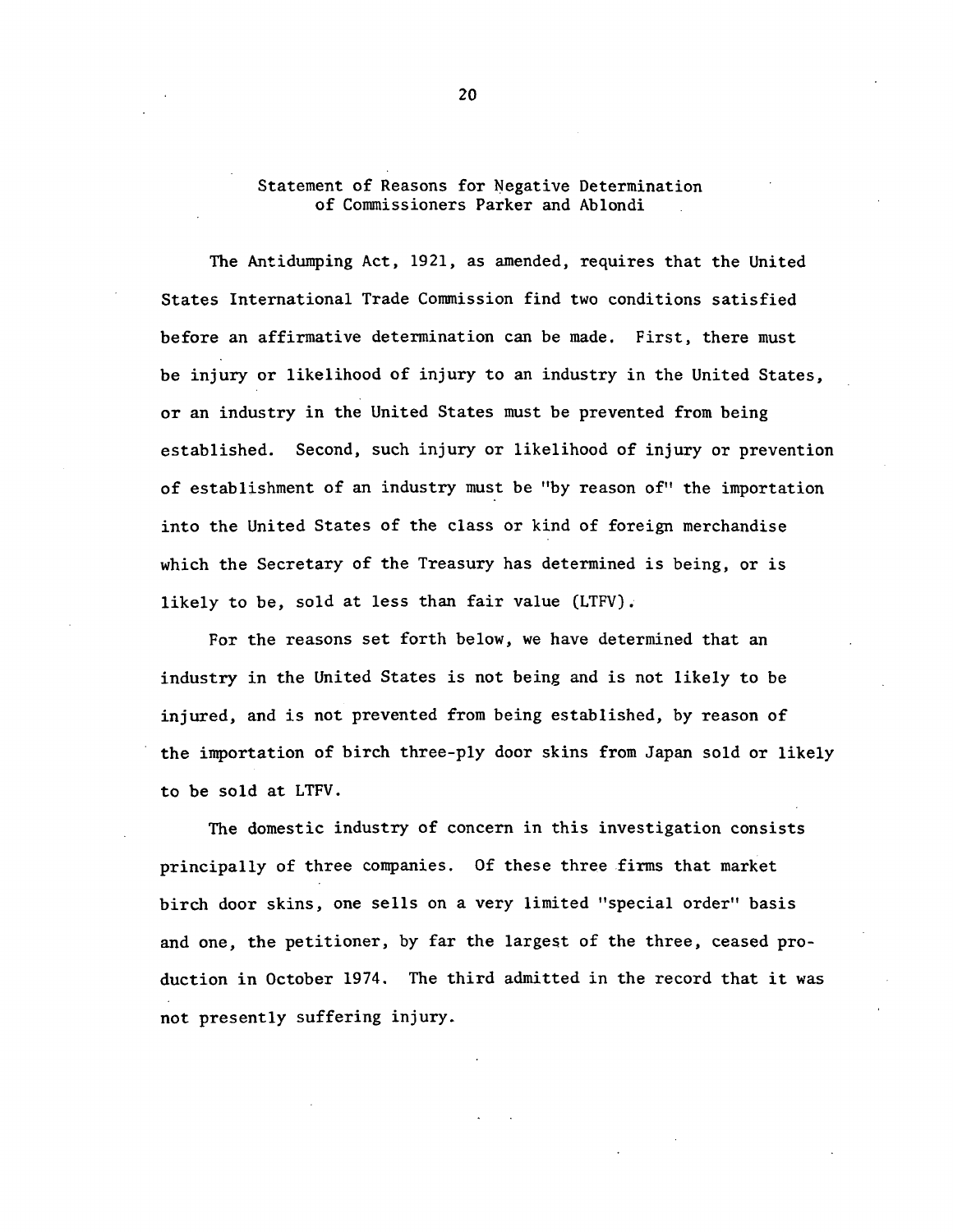# Statement of Reasons for Negative Determination of Commissioners Parker and Ablondi

The Antidumping Act, 1921, as amended, requires that the United States International Trade Commission find two conditions satisfied before an affirmative determination can be made. First, there must be injury or likelihood of injury to an industry in the United States, or an industry in the United States must be prevented from being established. Second, such injury or likelihood of injury or prevention of establishment of an industry must be "by reason of" the importation into the United States of the class or kind of foreign merchandise which the Secretary of the Treasury has determined is being, or is likely to be, sold at less than fair value (LTFV).

For the reasons set forth below, we have determined that an industry in the United States is not being and is not likely to be injured, and is not prevented from being established, by reason of the importation of birch three-ply door skins from Japan sold or likely to be sold at LTFV.

The domestic industry of concern in this investigation consists principally of three companies. Of these three firms that market birch door skins, one sells on a very limited "special order" basis and *one,* the petitioner, by far the largest of the three, ceased production in October 1974. The third admitted in the record that it was not presently suffering injury.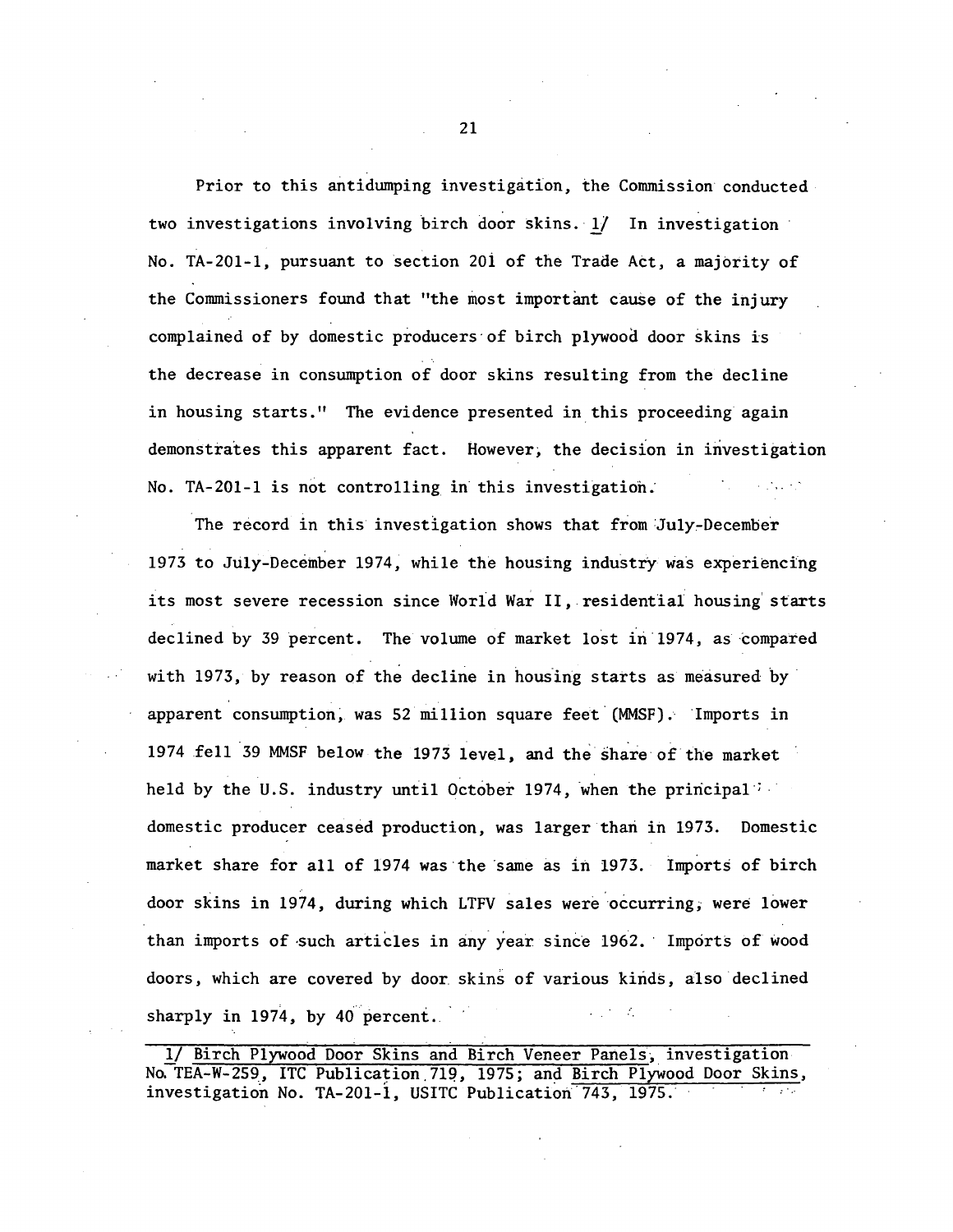Prior to this antidumping investigation, the Commission conducted two investigations involving birch door skins. 1/ In investigation No. TA-201-1, pursuant to section 20i of the Trade Act, a majority of the Commissioners found that "the most important cause of the injury complained of by domestic producers· of birch plywood door skins is the decrease in consumption of door skins resulting from the decline in housing starts." The evidence presented in this proceeding again demonstrates this apparent fact. However; the decision in investigation No. TA-201-1 is not controlling in this investigation:

The record in this investigation shows that from July-December 1973 to July-December 1974, while the housing industry was experiencing its most severe recession since World War II, residential housing starts declined by 39 percent. The volume of market lost in 1974, as compared with 1973, by reason of the decline in housing starts as measured by apparent consumption, was 52 million square feet (MMSF). Imports in 1974 fell 39 MMSF below the 1973 level, and the share of the market held by the U.S. industry until October 1974, when the principal i domestic producer ceased production, was larger than in 1973. Domestic market share for all of 1974 was the same as in 1973. Imports of birch door skins in 1974, during which LTFV sales were occurring; were lower than imports of such articles in any year since 1962. Imports of wood doors, which are covered by door skins of various kinds, also declined sharply in 1974, by 40 percent.

1/ Birch Plywood Door Skins and Birch Veneer Panels, investigation No. TEA-W-259, ITC Publication 719, 1975; and Birch Plywood Door Skins, investigation No. TA-201-1, USITC Publication 743, 1975.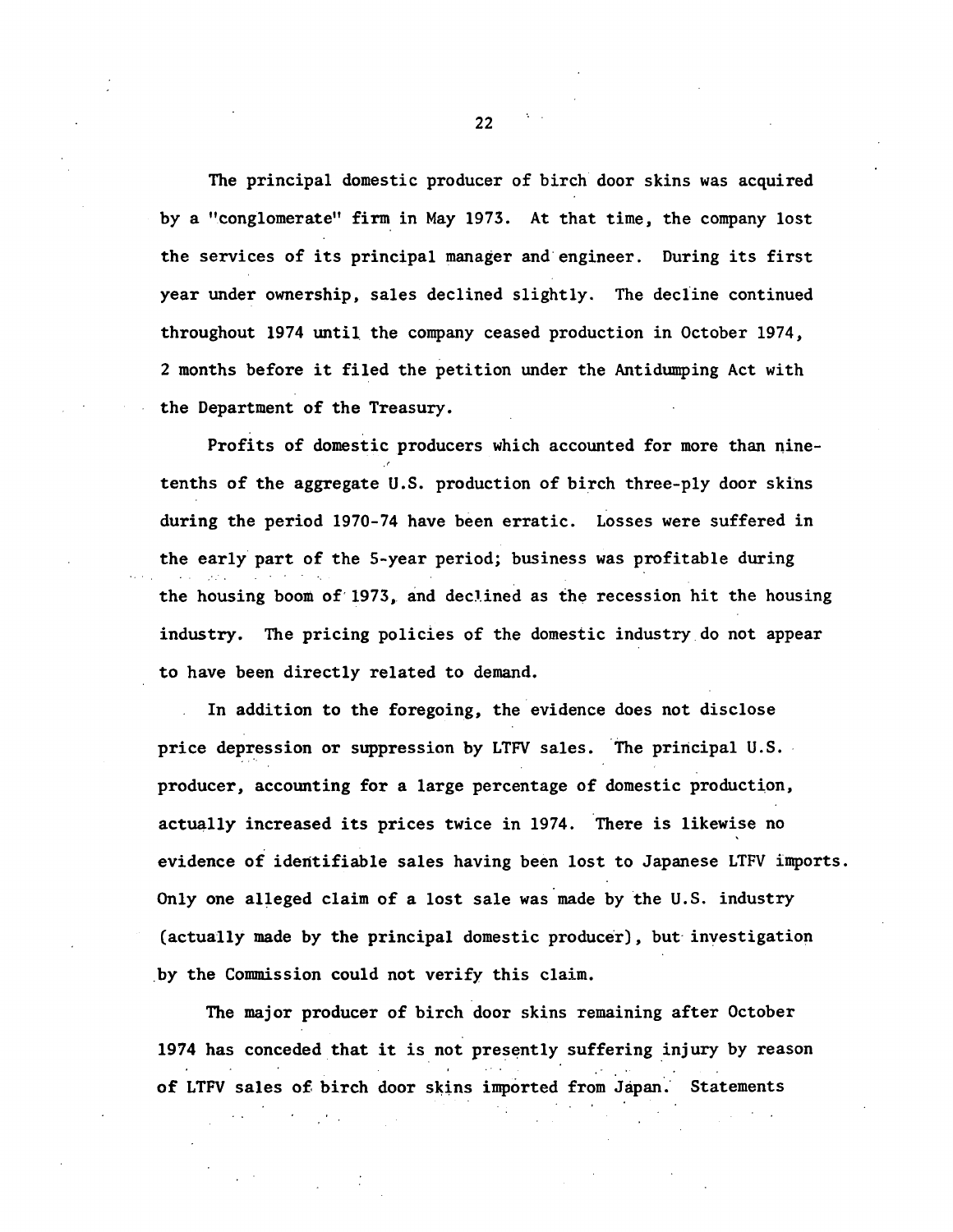The principal domestic producer of birch door skins was acquired by a "conglomerate" fim in May 1973. At that time, the company lost the services of its principal manager and·engineer. During its first year under ownership, sales declined slightly. The decline continued throughout 1974 until. the company ceased production in October 1974, 2 months before it filed the petition under the Antidumping Act with the Department of the Treasury.

Profits of domestic producers which accounted for more than ninetenths of the aggregate U.S. production of birch three-ply door skins during the period 1970-74 have been erratic. Losses were suffered in the early part of the 5-year period; business was profitable during the housing boom of 1973, and declined as the recession hit the housing industry. The pricing policies of the domestic industry do not appear to have been directly related to demand.

In addition to the foregoing, the evidence does not disclose price depression or suppression by LTFV sales. The principal U.S. producer, accounting for a large percentage of domestic production, actually increased its prices twice in 1974. There is likewise no evidence of identifiable sales having been lost to Japanese LTFV imports. Only one alleged claim of a lost sale was made by the U.S. industry (actually made by the principal domestic producer), but investigation \_by the Commission could not verify this claim.

The major producer of birch door skins remaining after October 1974 has conceded that it is not presently suffering injury by reason of LTFV sales of birch door skins imported from Japan. Statements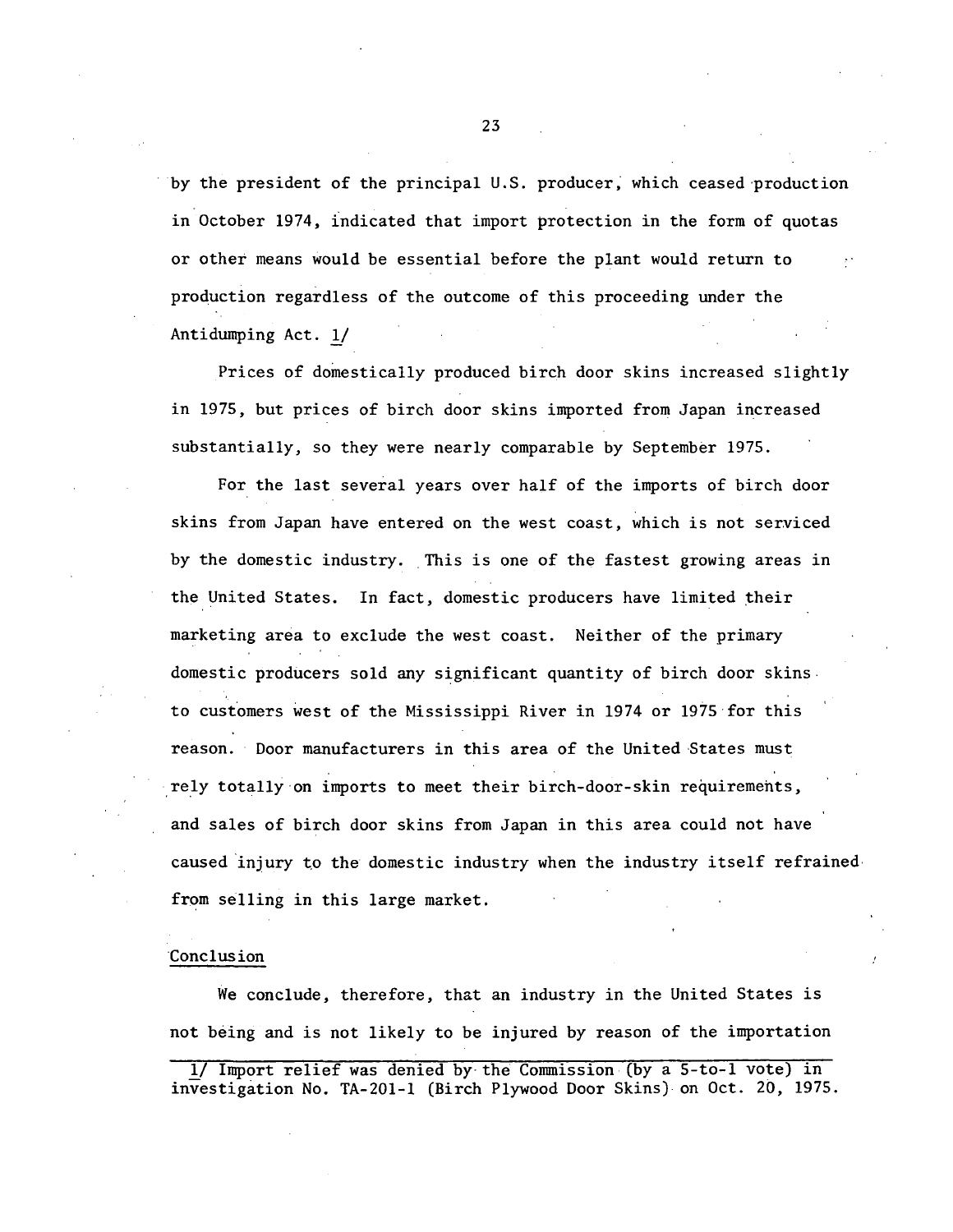by the president of the principal U.S. producer, which ceased production in October 1974, 1ndicated that import protection in the form of quotas or other means would be essential before the plant would return to production regardless of the outcome of this proceeding under the Antidumping Act. 1/

Prices of domestically produced birch door skins increased slightly in 1975, but prices of birch door skins imported from Japan increased substantially, so they were nearly comparable by September 1975.

For the last several years over half of the imports of birch door skins from Japan have entered on the west coast, which is not serviced by the domestic industry. This is one of the fastest growing areas in the United States. In fact, domestic producers have limited their marketing area to exclude the west coast. Neither of the primary domestic producers sold any significant quantity of birch door skins. to customers west of the Mississippi River in 1974 or 1975·for this reason. Door manufacturers in this area of the United States must rely totally on imports to meet their birch-door-skin requirements, and sales of birch door skins from Japan in this area could not have caused injury to the domestic industry when the industry itself refrained $\cdot$ from selling in this large market.

#### Conclusion

We conclude, therefore, that an industry in the United States is not being and is not likely to be injured by reason of the importation

<sup>1/</sup> Import relief was denied by the Commission (by a 5-to-1 vote) in investigation No. TA-201-1 (Birch Plywood Door Skins) on Oct. 20, 1975.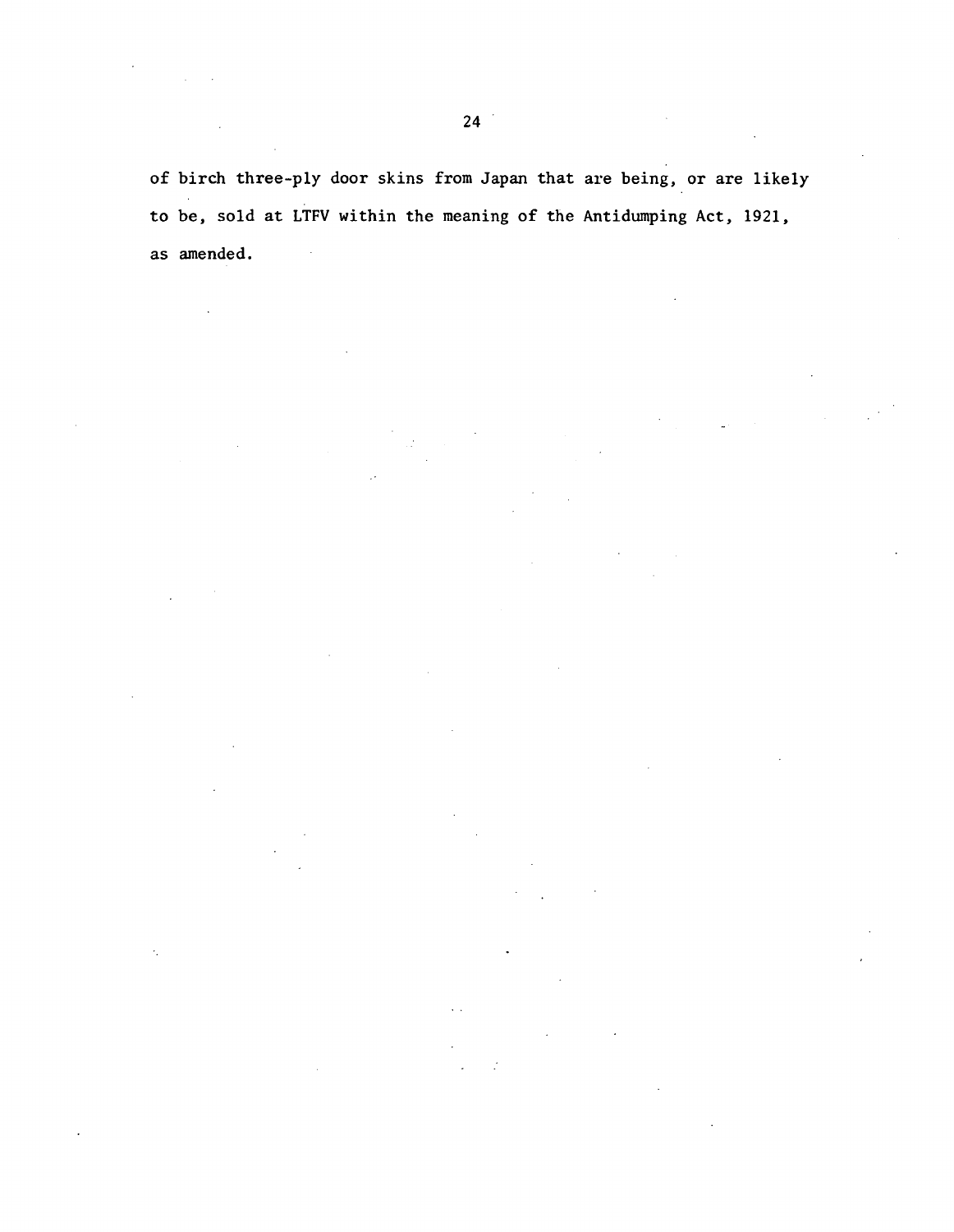of birch three-ply door skins from Japan that are being, or are likely to be, sold at LTFV within the meaning of the Antidumping Act, 1921, as amended.